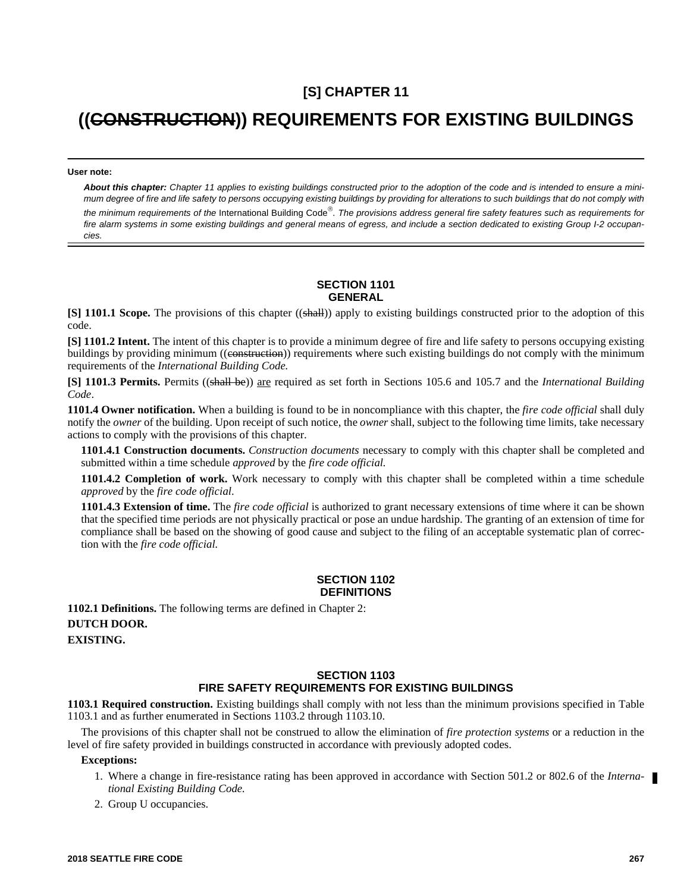## **[S] CHAPTER 11**

# **((CONSTRUCTION)) REQUIREMENTS FOR EXISTING BUILDINGS**

**User note:**

*About this chapter: Chapter 11 applies to existing buildings constructed prior to the adoption of the code and is intended to ensure a minimum degree of fire and life safety to persons occupying existing buildings by providing for alterations to such buildings that do not comply with the minimum requirements of the* International Building Code *. The provisions address general fire safety features such as requirements for fire alarm systems in some existing buildings and general means of egress, and include a section dedicated to existing Group I-2 occupancies.* 

#### **SECTION 1101 GENERAL**

**[S] 1101.1 Scope.** The provisions of this chapter ((shall)) apply to existing buildings constructed prior to the adoption of this code.

**[S] 1101.2 Intent.** The intent of this chapter is to provide a minimum degree of fire and life safety to persons occupying existing buildings by providing minimum ((construction)) requirements where such existing buildings do not comply with the minimum requirements of the *International Building Code.*

**[S] 1101.3 Permits.** Permits ((shall be)) are required as set forth in Sections 105.6 and 105.7 and the *International Building Code*.

**1101.4 Owner notification.** When a building is found to be in noncompliance with this chapter, the *fire code official* shall duly notify the *owner* of the building. Upon receipt of such notice, the *owner* shall, subject to the following time limits, take necessary actions to comply with the provisions of this chapter.

**1101.4.1 Construction documents.** *Construction documents* necessary to comply with this chapter shall be completed and submitted within a time schedule *approved* by the *fire code official.*

**1101.4.2 Completion of work.** Work necessary to comply with this chapter shall be completed within a time schedule *approved* by the *fire code official*.

**1101.4.3 Extension of time.** The *fire code official* is authorized to grant necessary extensions of time where it can be shown that the specified time periods are not physically practical or pose an undue hardship. The granting of an extension of time for compliance shall be based on the showing of good cause and subject to the filing of an acceptable systematic plan of correction with the *fire code official.*

#### **SECTION 1102 DEFINITIONS**

**1102.1 Definitions.** The following terms are defined in Chapter 2: **DUTCH DOOR.**

**EXISTING.** 

## **SECTION 1103 FIRE SAFETY REQUIREMENTS FOR EXISTING BUILDINGS**

**1103.1 Required construction.** Existing buildings shall comply with not less than the minimum provisions specified in Table 1103.1 and as further enumerated in Sections 1103.2 through 1103.10.

The provisions of this chapter shall not be construed to allow the elimination of *fire protection systems* or a reduction in the level of fire safety provided in buildings constructed in accordance with previously adopted codes.

#### **Exceptions:**

- 1. Where a change in fire-resistance rating has been approved in accordance with Section 501.2 or 802.6 of the *International Existing Building Code.*
- 2. Group U occupancies.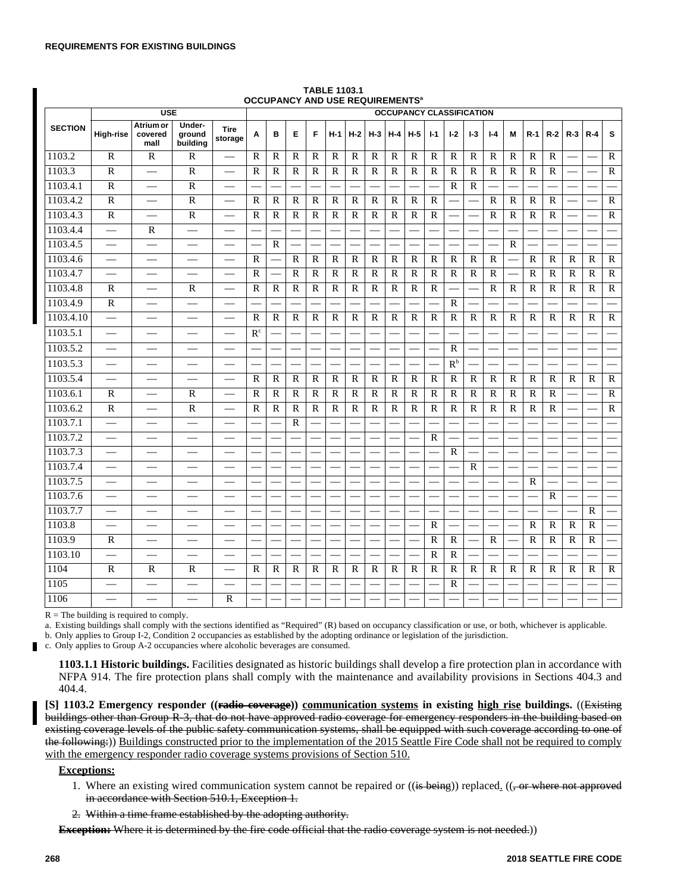|                | <b>USE</b>                                    |                              |                              |                          | <b>OCCOPANCT AND USE REQUIREMENTS</b><br><b>OCCUPANCY CLASSIFICATION</b> |              |              |                          |              |              |              |              |              |                |              |              |              |             |              |              |              |              |                |
|----------------|-----------------------------------------------|------------------------------|------------------------------|--------------------------|--------------------------------------------------------------------------|--------------|--------------|--------------------------|--------------|--------------|--------------|--------------|--------------|----------------|--------------|--------------|--------------|-------------|--------------|--------------|--------------|--------------|----------------|
| <b>SECTION</b> | High-rise                                     | Atrium or<br>covered<br>mall | Under-<br>ground<br>building | <b>Tire</b><br>storage   | A                                                                        | B            | E            | F                        | $H-1$        | $H-2$        | $H-3$        | $H-4$        | $H-5$        | $I-1$          | $1-2$        | $1-3$        | $I - 4$      | м           | $R-1$        | $R-2$        | $R-3$        | $R - 4$      | s              |
| 1103.2         | R                                             | R                            | R                            |                          | R                                                                        | R            | R            | R                        | R            | $\mathbb{R}$ | R            | R            | R            | $\mathbf R$    | R            | R            | R            | $\mathbf R$ | R            | R            |              |              | R              |
| 1103.3         | $\overline{R}$                                | $\overline{\phantom{0}}$     | $\mathbb{R}$                 | $\frac{1}{2}$            | R                                                                        | $\mathbb{R}$ | $\mathbb{R}$ | $\mathbb{R}$             | R            | $\mathbb{R}$ | R            | $\mathbf R$  | $\mathbb{R}$ | $\mathbb{R}$   | $\mathbb{R}$ | $\mathbb{R}$ | R            | $\mathbf R$ | $\mathbb{R}$ | $\mathbb{R}$ |              |              | $\mathbb{R}$   |
| 1103.4.1       | $\mathbb{R}$                                  | $\overline{\phantom{0}}$     | $\mathbb{R}$                 | $\overline{\phantom{0}}$ |                                                                          |              |              |                          |              |              |              |              |              |                | R            | $\mathbb{R}$ |              |             |              |              |              |              |                |
| 1103.4.2       | $\mathbb{R}$                                  |                              | $\mathbf R$                  |                          | $\mathsf{R}$                                                             | $\mathbf R$  | $\mathsf{R}$ | $\mathbf R$              | $\mathsf{R}$ | $\mathbb{R}$ | R            | R            | $\mathsf{R}$ | $\mathsf{R}$   |              |              | R            | R           | $\mathsf{R}$ | $\mathbb{R}$ |              |              | $\mathsf{R}$   |
| 1103.4.3       | $\overline{R}$                                |                              | $\overline{R}$               |                          | R                                                                        | $\mathbb{R}$ | $\mathbb{R}$ | $\mathbb{R}$             | $\mathbb{R}$ | $\mathbb{R}$ | $\mathbb{R}$ | $\mathbf R$  | $\mathbb{R}$ | $\overline{R}$ |              |              | $\mathbb{R}$ | $\mathbf R$ | $\mathbf R$  | $\mathbb{R}$ |              |              | $\overline{R}$ |
| 1103.4.4       |                                               | $\mathbf R$                  |                              |                          |                                                                          |              |              |                          |              |              |              |              |              |                |              |              |              |             |              |              |              |              |                |
| 1103.4.5       | $\overline{\phantom{0}}$                      | $\overline{\phantom{0}}$     | $\overline{\phantom{0}}$     | $\sim$                   |                                                                          | $\mathbf R$  |              |                          |              |              |              |              |              |                |              |              |              | $\mathbf R$ |              |              |              |              |                |
| 1103.4.6       | $\qquad \qquad \overbrace{\qquad \qquad }^{}$ |                              |                              |                          | R                                                                        | <u>Link</u>  | R            | $\mathbb{R}$             | $\mathbb{R}$ | $\mathbb{R}$ | $\mathbb{R}$ | $\mathbf R$  | $\mathbb{R}$ | $\mathbf R$    | $\mathbb{R}$ | $\mathbb{R}$ | $\mathbb{R}$ | e.          | $\mathbf R$  | $\mathbf R$  | $\mathbb{R}$ | $\mathbf R$  | $\mathbb{R}$   |
| 1103.4.7       |                                               |                              |                              |                          | $\mathbb{R}$                                                             |              | $\mathbb{R}$ | $\mathbb{R}$             | $\mathbb{R}$ | $\mathbb{R}$ | $\mathbb{R}$ | $\mathbb{R}$ | $\mathbf R$  | $\mathbb{R}$   | $\mathbb{R}$ | $\mathbb{R}$ | $\mathbb{R}$ |             | $\mathbb{R}$ | $\mathbb{R}$ | $\mathbb{R}$ | $\mathbb{R}$ | $\mathbb{R}$   |
| 1103.4.8       | $\mathbf R$                                   |                              | $\mathbf R$                  |                          | R                                                                        | $\mathbf R$  | $\mathbb{R}$ | $\mathbf R$              | $\mathbb{R}$ | $\mathbb{R}$ | $\mathbb{R}$ | $\mathbf R$  | $\mathbf R$  | $\mathbb{R}$   |              |              | $\mathbb{R}$ | $\mathbf R$ | $\mathbf R$  | $\mathbf R$  | $\mathbb{R}$ | $\mathbb{R}$ | $\mathbb{R}$   |
| 1103.4.9       | $\mathbb{R}$                                  |                              | $\sim$                       |                          |                                                                          |              |              |                          |              |              |              |              |              |                | $\mathbb{R}$ |              |              |             |              |              |              |              |                |
| 1103.4.10      |                                               |                              |                              |                          | $\mathbb{R}$                                                             | $\mathbb{R}$ | $\mathbb{R}$ | $\mathbb{R}$             | $\mathbb{R}$ | $\mathbb{R}$ | $\mathbb{R}$ | $\mathbb{R}$ | $\mathbb{R}$ | $\mathbf R$    | R            | $\mathbb{R}$ | $\mathbb{R}$ | $\mathbf R$ | $\mathbb{R}$ | $\mathbb{R}$ | $\mathbb{R}$ | $\mathbf R$  | $\mathbb{R}$   |
| 1103.5.1       | $\frac{1}{2}$                                 |                              | $\overline{\phantom{0}}$     |                          | R <sup>c</sup>                                                           |              |              |                          |              |              |              |              |              |                |              |              |              |             |              |              |              |              |                |
| 1103.5.2       |                                               |                              |                              |                          |                                                                          |              |              | $\overline{\phantom{a}}$ |              |              |              |              |              |                | R            |              |              |             |              |              |              |              |                |
| 1103.5.3       | $\overline{\phantom{0}}$                      | $\overline{\phantom{0}}$     |                              | $\overline{\phantom{0}}$ |                                                                          |              |              |                          |              |              |              |              |              |                | $R^b$        |              |              |             |              |              |              |              |                |
| 1103.5.4       | $\overline{\phantom{0}}$                      |                              |                              |                          | R                                                                        | $\mathbf R$  | $\mathbb{R}$ | $\mathbf R$              | $\mathbb{R}$ | $\mathbb{R}$ | R            | R            | $\mathbb{R}$ | $\mathbf R$    | R            | R            | R            | R           | R            | R            | R            | R            | R              |
| 1103.6.1       | $\mathbb{R}$                                  | $\overline{\phantom{0}}$     | $\mathbb{R}$                 |                          | R                                                                        | $\mathbb{R}$ | R            | $\mathbb{R}$             | $\mathbb{R}$ | $\mathbb{R}$ | R            | $\mathbb{R}$ | $\mathbb{R}$ | $\mathbf R$    | R            | $\mathbf R$  | R            | $\mathbf R$ | R            | $\mathbb{R}$ |              |              | $\mathbb{R}$   |
| 1103.6.2       | $\mathbf R$                                   | $\equiv$                     | $\overline{R}$               | $\equiv$                 | R                                                                        | $\mathbb{R}$ | $\mathbb{R}$ | $\mathbb{R}$             | $\mathbb{R}$ | $\mathbb{R}$ | $\mathbb{R}$ | $\mathbb{R}$ | $\mathbb{R}$ | $\mathbf R$    | $\mathbb{R}$ | $\mathbf R$  | $\mathbb{R}$ | $\mathbf R$ | $\mathbf R$  | $\mathbf R$  |              |              | $\mathbb{R}$   |
| 1103.7.1       |                                               |                              |                              |                          |                                                                          |              | $\mathbb{R}$ |                          |              |              |              |              |              |                |              |              |              |             |              |              |              |              |                |
| 1103.7.2       | $\overline{\phantom{0}}$                      | $\overline{\phantom{0}}$     | $\overline{\phantom{0}}$     | $\overline{\phantom{0}}$ |                                                                          |              |              |                          |              |              |              |              |              | $\mathbf R$    |              |              |              |             |              |              |              |              |                |
| 1103.7.3       |                                               |                              |                              |                          |                                                                          |              |              |                          |              |              |              |              |              |                | $\mathbb{R}$ |              |              |             |              |              |              |              |                |
| 1103.7.4       | $\overline{\phantom{0}}$                      |                              |                              |                          |                                                                          |              |              |                          |              |              |              |              |              |                |              | $\mathbb{R}$ |              |             |              |              |              |              |                |
| 1103.7.5       |                                               |                              |                              |                          |                                                                          |              |              |                          |              |              |              |              |              |                |              |              |              |             | R            |              |              |              |                |
| 1103.7.6       |                                               |                              |                              |                          |                                                                          |              |              |                          |              |              |              |              |              |                |              |              |              |             |              | $\mathbb{R}$ |              |              |                |
| 1103.7.7       |                                               |                              |                              |                          |                                                                          |              |              |                          |              |              |              |              |              |                |              |              |              |             |              |              |              | $\mathbf R$  |                |
| 1103.8         |                                               |                              |                              |                          |                                                                          |              |              |                          |              |              |              |              |              | $\mathbf R$    |              |              |              |             | $\mathbf R$  | $\mathbf R$  | $\mathbf{R}$ | $\mathbf R$  |                |
| 1103.9         | R                                             | $\sim$                       |                              |                          |                                                                          |              |              |                          |              |              |              |              |              | $\mathbf R$    | R            |              | $\mathbb{R}$ |             | $\mathbb{R}$ | R            | R            | $\mathbb{R}$ |                |
| 1103.10        |                                               |                              |                              |                          |                                                                          |              |              |                          |              |              |              |              |              | $\mathbf R$    | $\mathbb{R}$ |              |              |             |              |              |              |              |                |
| 1104           | $\mathbb{R}$                                  | $\mathbb{R}$                 | $\mathbb{R}$                 | $\equiv$                 | R                                                                        | $\mathbf R$  | R            | $\mathbb{R}$             | R            | $\mathbb{R}$ | R            | $\mathbf R$  | R            | $\mathbb{R}$   | $\mathbf R$  | $\mathbb{R}$ | R            | $\mathbf R$ | $\mathbf R$  | $\mathbf R$  | $\mathbf R$  | $\mathbb{R}$ | $\mathbb{R}$   |
| 1105           |                                               |                              |                              |                          |                                                                          |              |              |                          |              |              |              |              |              |                | $\mathbb{R}$ |              |              |             |              |              |              |              |                |
| 1106           |                                               |                              |                              | $\mathbb{R}$             |                                                                          |              |              |                          |              |              |              |              |              |                |              |              |              |             |              |              |              |              |                |

**TABLE 1103.1 OCCUPANCY AND USE REQUIREMENTS<sup>a</sup>**

 $R =$ The building is required to comply.

a. Existing buildings shall comply with the sections identified as "Required" (R) based on occupancy classification or use, or both, whichever is applicable.

b. Only applies to Group I-2, Condition 2 occupancies as established by the adopting ordinance or legislation of the jurisdiction.

c. Only applies to Group A-2 occupancies where alcoholic beverages are consumed.

**1103.1.1 Historic buildings.** Facilities designated as historic buildings shall develop a fire protection plan in accordance with NFPA 914. The fire protection plans shall comply with the maintenance and availability provisions in Sections 404.3 and 404.4.

**[S] 1103.2 Emergency responder ((radio coverage)) communication systems in existing high rise buildings.** ((Existing buildings other than Group R-3, that do not have approved radio coverage for emergency responders in the building based on existing coverage levels of the public safety communication systems, shall be equipped with such coverage according to one of the following:)) Buildings constructed prior to the implementation of the 2015 Seattle Fire Code shall not be required to comply with the emergency responder radio coverage systems provisions of Section 510.

## **Exceptions:**

- 1. Where an existing wired communication system cannot be repaired or  $((i<sub>s</sub> being))$  replaced.  $((, or where not approved)$ in accordance with Section 510.1, Exception 1.
- 2. Within a time frame established by the adopting authority.

**Exception:** Where it is determined by the fire code official that the radio coverage system is not needed.)

Г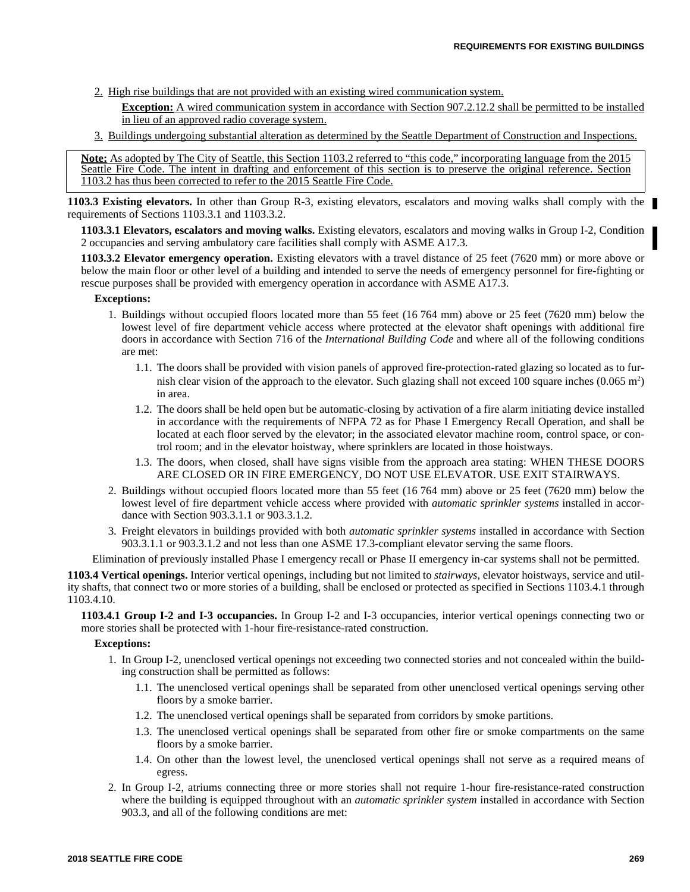- 2. High rise buildings that are not provided with an existing wired communication system.
	- **Exception:** A wired communication system in accordance with Section 907.2.12.2 shall be permitted to be installed in lieu of an approved radio coverage system.
- 3. Buildings undergoing substantial alteration as determined by the Seattle Department of Construction and Inspections.

Note: As adopted by The City of Seattle, this Section 1103.2 referred to "this code," incorporating language from the 2015 Seattle Fire Code. The intent in drafting and enforcement of this section is to preserve the original reference. Section 1103.2 has thus been corrected to refer to the 2015 Seattle Fire Code.

**1103.3 Existing elevators.** In other than Group R-3, existing elevators, escalators and moving walks shall comply with the requirements of Sections 1103.3.1 and 1103.3.2.

**1103.3.1 Elevators, escalators and moving walks.** Existing elevators, escalators and moving walks in Group I-2, Condition 2 occupancies and serving ambulatory care facilities shall comply with ASME A17.3.

**1103.3.2 Elevator emergency operation.** Existing elevators with a travel distance of 25 feet (7620 mm) or more above or below the main floor or other level of a building and intended to serve the needs of emergency personnel for fire-fighting or rescue purposes shall be provided with emergency operation in accordance with ASME A17.3.

#### **Exceptions:**

- 1. Buildings without occupied floors located more than 55 feet (16 764 mm) above or 25 feet (7620 mm) below the lowest level of fire department vehicle access where protected at the elevator shaft openings with additional fire doors in accordance with Section 716 of the *International Building Code* and where all of the following conditions are met:
	- 1.1. The doors shall be provided with vision panels of approved fire-protection-rated glazing so located as to furnish clear vision of the approach to the elevator. Such glazing shall not exceed 100 square inches  $(0.065 \text{ m}^2)$ in area.
	- 1.2. The doors shall be held open but be automatic-closing by activation of a fire alarm initiating device installed in accordance with the requirements of NFPA 72 as for Phase I Emergency Recall Operation, and shall be located at each floor served by the elevator; in the associated elevator machine room, control space, or control room; and in the elevator hoistway, where sprinklers are located in those hoistways.
	- 1.3. The doors, when closed, shall have signs visible from the approach area stating: WHEN THESE DOORS ARE CLOSED OR IN FIRE EMERGENCY, DO NOT USE ELEVATOR. USE EXIT STAIRWAYS.
- 2. Buildings without occupied floors located more than 55 feet (16 764 mm) above or 25 feet (7620 mm) below the lowest level of fire department vehicle access where provided with *automatic sprinkler systems* installed in accordance with Section 903.3.1.1 or 903.3.1.2.
- 3. Freight elevators in buildings provided with both *automatic sprinkler systems* installed in accordance with Section 903.3.1.1 or 903.3.1.2 and not less than one ASME 17.3-compliant elevator serving the same floors.

Elimination of previously installed Phase I emergency recall or Phase II emergency in-car systems shall not be permitted.

**1103.4 Vertical openings.** Interior vertical openings, including but not limited to *stairways*, elevator hoistways, service and utility shafts, that connect two or more stories of a building, shall be enclosed or protected as specified in Sections 1103.4.1 through 1103.4.10.

**1103.4.1 Group I-2 and I-3 occupancies.** In Group I-2 and I-3 occupancies, interior vertical openings connecting two or more stories shall be protected with 1-hour fire-resistance-rated construction.

#### **Exceptions:**

- 1. In Group I-2, unenclosed vertical openings not exceeding two connected stories and not concealed within the building construction shall be permitted as follows:
	- 1.1. The unenclosed vertical openings shall be separated from other unenclosed vertical openings serving other floors by a smoke barrier.
	- 1.2. The unenclosed vertical openings shall be separated from corridors by smoke partitions.
	- 1.3. The unenclosed vertical openings shall be separated from other fire or smoke compartments on the same floors by a smoke barrier.
	- 1.4. On other than the lowest level, the unenclosed vertical openings shall not serve as a required means of egress.
- 2. In Group I-2, atriums connecting three or more stories shall not require 1-hour fire-resistance-rated construction where the building is equipped throughout with an *automatic sprinkler system* installed in accordance with Section 903.3, and all of the following conditions are met: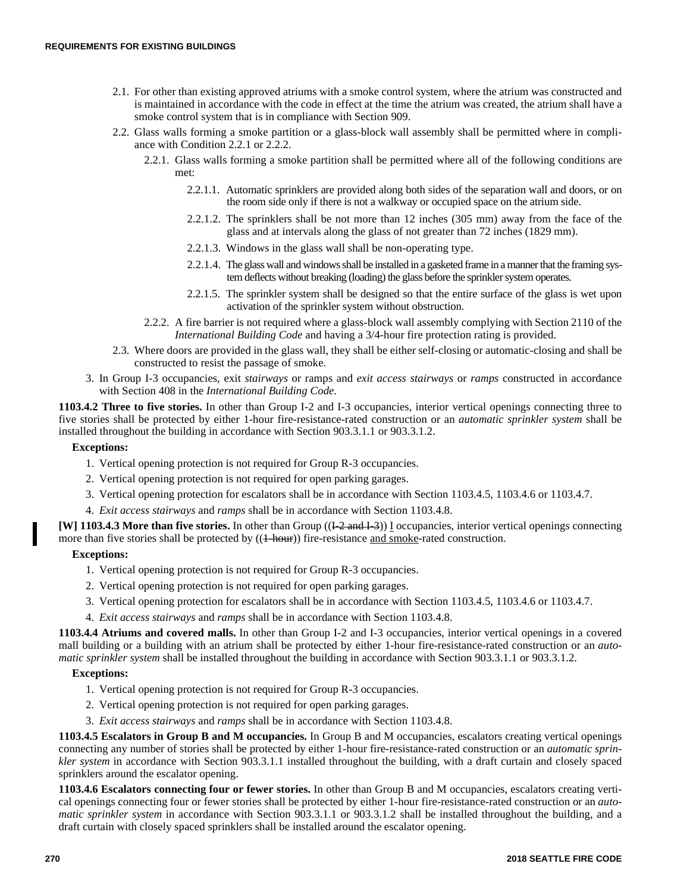- 2.1. For other than existing approved atriums with a smoke control system, where the atrium was constructed and is maintained in accordance with the code in effect at the time the atrium was created, the atrium shall have a smoke control system that is in compliance with Section 909.
- 2.2. Glass walls forming a smoke partition or a glass-block wall assembly shall be permitted where in compliance with Condition 2.2.1 or 2.2.2.
	- 2.2.1. Glass walls forming a smoke partition shall be permitted where all of the following conditions are met:
		- 2.2.1.1. Automatic sprinklers are provided along both sides of the separation wall and doors, or on the room side only if there is not a walkway or occupied space on the atrium side.
		- 2.2.1.2. The sprinklers shall be not more than 12 inches (305 mm) away from the face of the glass and at intervals along the glass of not greater than 72 inches (1829 mm).
		- 2.2.1.3. Windows in the glass wall shall be non-operating type.
		- 2.2.1.4. The glass wall and windows shall be installed in a gasketed frame in a manner that the framing system deflects without breaking (loading) the glass before the sprinkler system operates.
		- 2.2.1.5. The sprinkler system shall be designed so that the entire surface of the glass is wet upon activation of the sprinkler system without obstruction.
	- 2.2.2. A fire barrier is not required where a glass-block wall assembly complying with Section 2110 of the *International Building Code* and having a 3/4-hour fire protection rating is provided.
- 2.3. Where doors are provided in the glass wall, they shall be either self-closing or automatic-closing and shall be constructed to resist the passage of smoke.
- 3. In Group I-3 occupancies, exit *stairways* or ramps and *exit access stairways* or *ramps* constructed in accordance with Section 408 in the *International Building Code.*

**1103.4.2 Three to five stories.** In other than Group I-2 and I-3 occupancies, interior vertical openings connecting three to five stories shall be protected by either 1-hour fire-resistance-rated construction or an *automatic sprinkler system* shall be installed throughout the building in accordance with Section 903.3.1.1 or 903.3.1.2.

## **Exceptions:**

- 1. Vertical opening protection is not required for Group R-3 occupancies.
- 2. Vertical opening protection is not required for open parking garages.
- 3. Vertical opening protection for escalators shall be in accordance with Section 1103.4.5, 1103.4.6 or 1103.4.7.
- 4. *Exit access stairways* and *ramps* shall be in accordance with Section 1103.4.8.

**[W] 1103.4.3 More than five stories.** In other than Group (( $\overline{1\text{-}2 \text{ and } 1\text{-}3}$ )) I occupancies, interior vertical openings connecting more than five stories shall be protected by ((4-hour)) fire-resistance and smoke-rated construction.

## **Exceptions:**

- 1. Vertical opening protection is not required for Group R-3 occupancies.
- 2. Vertical opening protection is not required for open parking garages.
- 3. Vertical opening protection for escalators shall be in accordance with Section 1103.4.5, 1103.4.6 or 1103.4.7.
- 4. *Exit access stairways* and *ramps* shall be in accordance with Section 1103.4.8.

**1103.4.4 Atriums and covered malls.** In other than Group I-2 and I-3 occupancies, interior vertical openings in a covered mall building or a building with an atrium shall be protected by either 1-hour fire-resistance-rated construction or an *automatic sprinkler system* shall be installed throughout the building in accordance with Section 903.3.1.1 or 903.3.1.2.

## **Exceptions:**

- 1. Vertical opening protection is not required for Group R-3 occupancies.
- 2. Vertical opening protection is not required for open parking garages.
- 3. *Exit access stairways* and *ramps* shall be in accordance with Section 1103.4.8.

**1103.4.5 Escalators in Group B and M occupancies.** In Group B and M occupancies, escalators creating vertical openings connecting any number of stories shall be protected by either 1-hour fire-resistance-rated construction or an *automatic sprinkler system* in accordance with Section 903.3.1.1 installed throughout the building, with a draft curtain and closely spaced sprinklers around the escalator opening.

**1103.4.6 Escalators connecting four or fewer stories.** In other than Group B and M occupancies, escalators creating vertical openings connecting four or fewer stories shall be protected by either 1-hour fire-resistance-rated construction or an *automatic sprinkler system* in accordance with Section 903.3.1.1 or 903.3.1.2 shall be installed throughout the building, and a draft curtain with closely spaced sprinklers shall be installed around the escalator opening.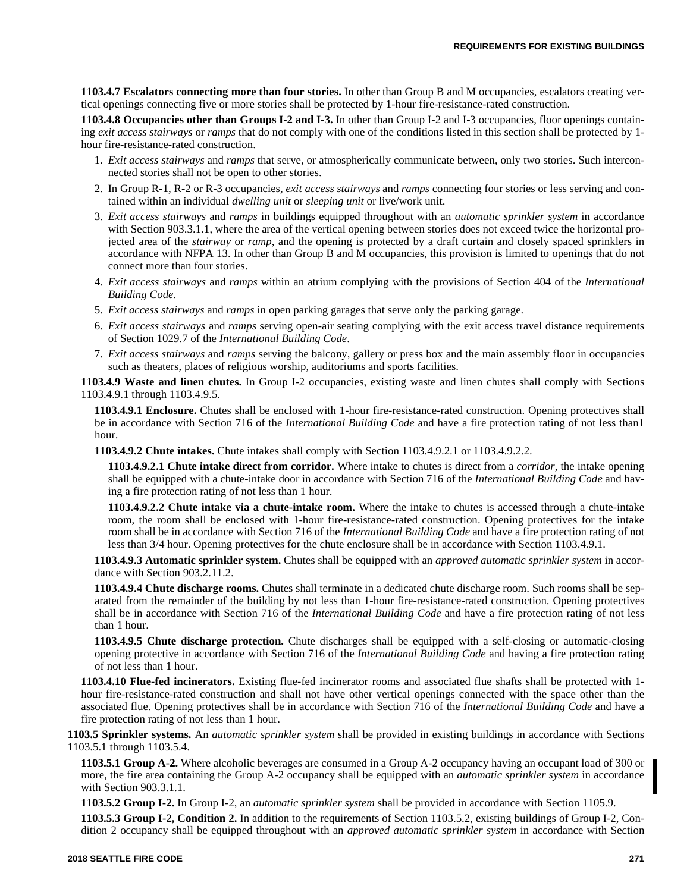**1103.4.7 Escalators connecting more than four stories.** In other than Group B and M occupancies, escalators creating vertical openings connecting five or more stories shall be protected by 1-hour fire-resistance-rated construction.

**1103.4.8 Occupancies other than Groups I-2 and I-3.** In other than Group I-2 and I-3 occupancies, floor openings containing *exit access stairways* or *ramps* that do not comply with one of the conditions listed in this section shall be protected by 1 hour fire-resistance-rated construction.

- 1. *Exit access stairways* and *ramps* that serve, or atmospherically communicate between, only two stories. Such interconnected stories shall not be open to other stories.
- 2. In Group R-1, R-2 or R-3 occupancies, *exit access stairways* and *ramps* connecting four stories or less serving and contained within an individual *dwelling unit* or *sleeping unit* or live/work unit.
- 3. *Exit access stairways* and *ramps* in buildings equipped throughout with an *automatic sprinkler system* in accordance with Section 903.3.1.1, where the area of the vertical opening between stories does not exceed twice the horizontal projected area of the *stairway* or *ramp*, and the opening is protected by a draft curtain and closely spaced sprinklers in accordance with NFPA 13. In other than Group B and M occupancies, this provision is limited to openings that do not connect more than four stories.
- 4. *Exit access stairways* and *ramps* within an atrium complying with the provisions of Section 404 of the *International Building Code*.
- 5. *Exit access stairways* and *ramps* in open parking garages that serve only the parking garage.
- 6. *Exit access stairways* and *ramps* serving open-air seating complying with the exit access travel distance requirements of Section 1029.7 of the *International Building Code*.
- 7. *Exit access stairways* and *ramps* serving the balcony, gallery or press box and the main assembly floor in occupancies such as theaters, places of religious worship, auditoriums and sports facilities.

**1103.4.9 Waste and linen chutes.** In Group I-2 occupancies, existing waste and linen chutes shall comply with Sections 1103.4.9.1 through 1103.4.9.5.

**1103.4.9.1 Enclosure.** Chutes shall be enclosed with 1-hour fire-resistance-rated construction. Opening protectives shall be in accordance with Section 716 of the *International Building Code* and have a fire protection rating of not less than1 hour.

**1103.4.9.2 Chute intakes.** Chute intakes shall comply with Section 1103.4.9.2.1 or 1103.4.9.2.2.

**1103.4.9.2.1 Chute intake direct from corridor.** Where intake to chutes is direct from a *corridor*, the intake opening shall be equipped with a chute-intake door in accordance with Section 716 of the *International Building Code* and having a fire protection rating of not less than 1 hour.

**1103.4.9.2.2 Chute intake via a chute-intake room.** Where the intake to chutes is accessed through a chute-intake room, the room shall be enclosed with 1-hour fire-resistance-rated construction. Opening protectives for the intake room shall be in accordance with Section 716 of the *International Building Code* and have a fire protection rating of not less than 3/4 hour. Opening protectives for the chute enclosure shall be in accordance with Section 1103.4.9.1.

**1103.4.9.3 Automatic sprinkler system.** Chutes shall be equipped with an *approved automatic sprinkler system* in accordance with Section 903.2.11.2.

**1103.4.9.4 Chute discharge rooms.** Chutes shall terminate in a dedicated chute discharge room. Such rooms shall be separated from the remainder of the building by not less than 1-hour fire-resistance-rated construction. Opening protectives shall be in accordance with Section 716 of the *International Building Code* and have a fire protection rating of not less than 1 hour.

**1103.4.9.5 Chute discharge protection.** Chute discharges shall be equipped with a self-closing or automatic-closing opening protective in accordance with Section 716 of the *International Building Code* and having a fire protection rating of not less than 1 hour.

**1103.4.10 Flue-fed incinerators.** Existing flue-fed incinerator rooms and associated flue shafts shall be protected with 1 hour fire-resistance-rated construction and shall not have other vertical openings connected with the space other than the associated flue. Opening protectives shall be in accordance with Section 716 of the *International Building Code* and have a fire protection rating of not less than 1 hour.

**1103.5 Sprinkler systems.** An *automatic sprinkler system* shall be provided in existing buildings in accordance with Sections 1103.5.1 through 1103.5.4.

**1103.5.1 Group A-2.** Where alcoholic beverages are consumed in a Group A-2 occupancy having an occupant load of 300 or more, the fire area containing the Group A-2 occupancy shall be equipped with an *automatic sprinkler system* in accordance with Section 903.3.1.1.

**1103.5.2 Group I-2.** In Group I-2, an *automatic sprinkler system* shall be provided in accordance with Section 1105.9.

**1103.5.3 Group I-2, Condition 2.** In addition to the requirements of Section 1103.5.2, existing buildings of Group I-2, Condition 2 occupancy shall be equipped throughout with an *approved automatic sprinkler system* in accordance with Section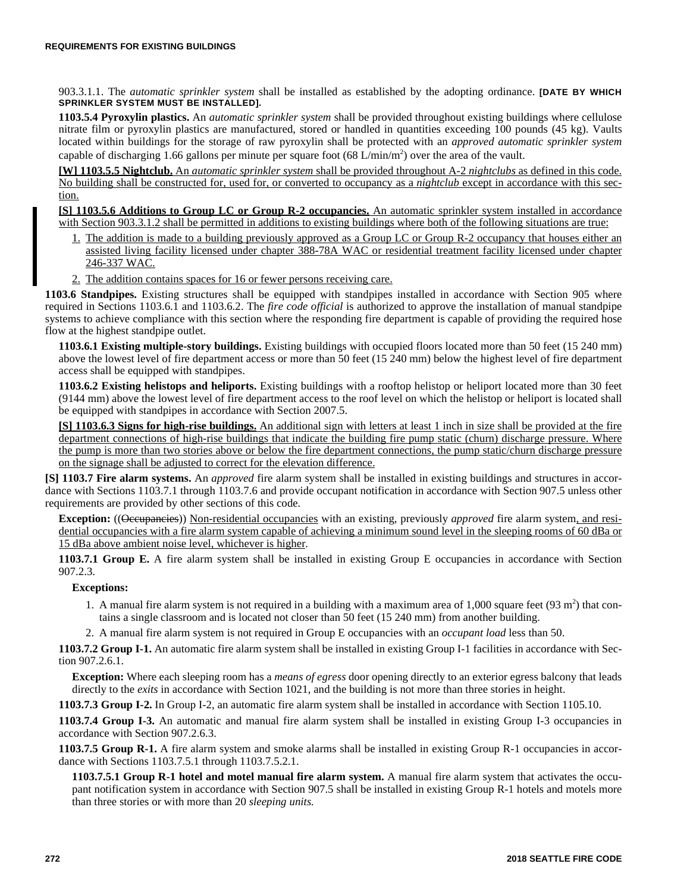903.3.1.1. The *automatic sprinkler system* shall be installed as established by the adopting ordinance. **[DATE BY WHICH SPRINKLER SYSTEM MUST BE INSTALLED].**

**1103.5.4 Pyroxylin plastics.** An *automatic sprinkler system* shall be provided throughout existing buildings where cellulose nitrate film or pyroxylin plastics are manufactured, stored or handled in quantities exceeding 100 pounds (45 kg). Vaults located within buildings for the storage of raw pyroxylin shall be protected with an *approved automatic sprinkler system* capable of discharging 1.66 gallons per minute per square foot  $(68 \text{ L/min/m}^2)$  over the area of the vault.

**[W] 1103.5.5 Nightclub.** An *automatic sprinkler system* shall be provided throughout A-2 *nightclubs* as defined in this code. No building shall be constructed for, used for, or converted to occupancy as a *nightclub* except in accordance with this section.

**[S] 1103.5.6 Additions to Group LC or Group R-2 occupancies.** An automatic sprinkler system installed in accordance with Section 903.3.1.2 shall be permitted in additions to existing buildings where both of the following situations are true:

- 1. The addition is made to a building previously approved as a Group LC or Group R-2 occupancy that houses either an assisted living facility licensed under chapter 388-78A WAC or residential treatment facility licensed under chapter 246-337 WAC.
- 2. The addition contains spaces for 16 or fewer persons receiving care.

**1103.6 Standpipes.** Existing structures shall be equipped with standpipes installed in accordance with Section 905 where required in Sections 1103.6.1 and 1103.6.2. The *fire code official* is authorized to approve the installation of manual standpipe systems to achieve compliance with this section where the responding fire department is capable of providing the required hose flow at the highest standpipe outlet.

**1103.6.1 Existing multiple-story buildings.** Existing buildings with occupied floors located more than 50 feet (15 240 mm) above the lowest level of fire department access or more than 50 feet (15 240 mm) below the highest level of fire department access shall be equipped with standpipes.

**1103.6.2 Existing helistops and heliports.** Existing buildings with a rooftop helistop or heliport located more than 30 feet (9144 mm) above the lowest level of fire department access to the roof level on which the helistop or heliport is located shall be equipped with standpipes in accordance with Section 2007.5.

**[S] 1103.6.3 Signs for high-rise buildings.** An additional sign with letters at least 1 inch in size shall be provided at the fire department connections of high-rise buildings that indicate the building fire pump static (churn) discharge pressure. Where the pump is more than two stories above or below the fire department connections, the pump static/churn discharge pressure on the signage shall be adjusted to correct for the elevation difference.

**[S] 1103.7 Fire alarm systems.** An *approved* fire alarm system shall be installed in existing buildings and structures in accordance with Sections 1103.7.1 through 1103.7.6 and provide occupant notification in accordance with Section 907.5 unless other requirements are provided by other sections of this code.

**Exception:** ((Occupancies)) Non-residential occupancies with an existing, previously *approved* fire alarm system, and residential occupancies with a fire alarm system capable of achieving a minimum sound level in the sleeping rooms of 60 dBa or 15 dBa above ambient noise level, whichever is higher.

**1103.7.1 Group E.** A fire alarm system shall be installed in existing Group E occupancies in accordance with Section 907.2.3.

## **Exceptions:**

- 1. A manual fire alarm system is not required in a building with a maximum area of  $1,000$  square feet (93 m<sup>2</sup>) that contains a single classroom and is located not closer than 50 feet (15 240 mm) from another building.
- 2. A manual fire alarm system is not required in Group E occupancies with an *occupant load* less than 50.

**1103.7.2 Group I-1.** An automatic fire alarm system shall be installed in existing Group I-1 facilities in accordance with Section 907.2.6.1.

**Exception:** Where each sleeping room has a *means of egress* door opening directly to an exterior egress balcony that leads directly to the *exits* in accordance with Section 1021, and the building is not more than three stories in height.

**1103.7.3 Group I-2.** In Group I-2, an automatic fire alarm system shall be installed in accordance with Section 1105.10.

**1103.7.4 Group I-3.** An automatic and manual fire alarm system shall be installed in existing Group I-3 occupancies in accordance with Section 907.2.6.3.

**1103.7.5 Group R-1.** A fire alarm system and smoke alarms shall be installed in existing Group R-1 occupancies in accordance with Sections 1103.7.5.1 through 1103.7.5.2.1.

**1103.7.5.1 Group R-1 hotel and motel manual fire alarm system.** A manual fire alarm system that activates the occupant notification system in accordance with Section 907.5 shall be installed in existing Group R-1 hotels and motels more than three stories or with more than 20 *sleeping units.*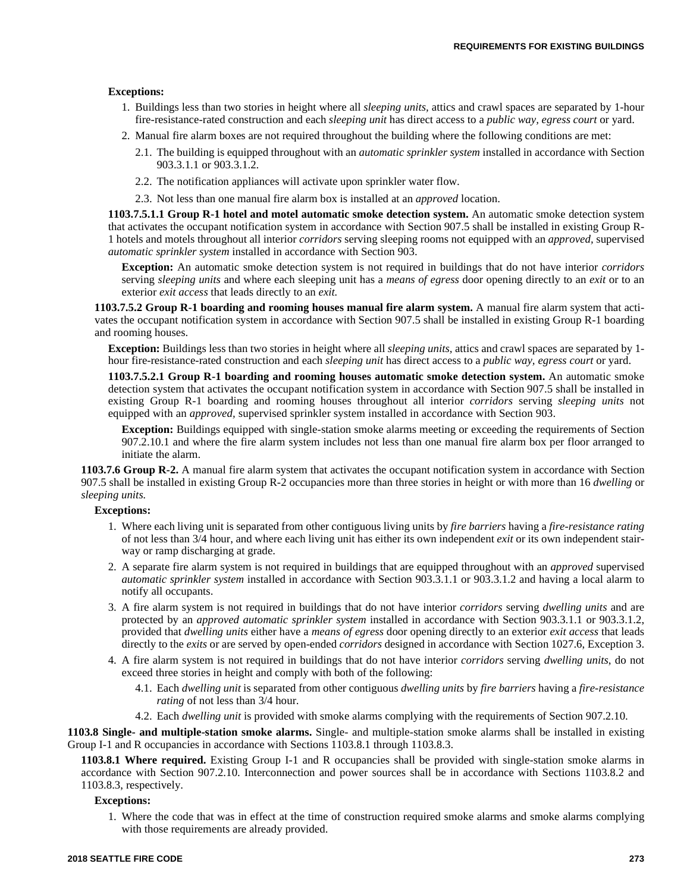#### **Exceptions:**

- 1. Buildings less than two stories in height where all *sleeping units,* attics and crawl spaces are separated by 1-hour fire-resistance-rated construction and each *sleeping unit* has direct access to a *public way, egress court* or yard.
- 2. Manual fire alarm boxes are not required throughout the building where the following conditions are met:
	- 2.1. The building is equipped throughout with an *automatic sprinkler system* installed in accordance with Section 903.3.1.1 or 903.3.1.2.
	- 2.2. The notification appliances will activate upon sprinkler water flow.
	- 2.3. Not less than one manual fire alarm box is installed at an *approved* location.

**1103.7.5.1.1 Group R-1 hotel and motel automatic smoke detection system.** An automatic smoke detection system that activates the occupant notification system in accordance with Section 907.5 shall be installed in existing Group R-1 hotels and motels throughout all interior *corridors* serving sleeping rooms not equipped with an *approved,* supervised *automatic sprinkler system* installed in accordance with Section 903.

**Exception:** An automatic smoke detection system is not required in buildings that do not have interior *corridors* serving *sleeping units* and where each sleeping unit has a *means of egress* door opening directly to an *exit* or to an exterior *exit access* that leads directly to an *exit.*

**1103.7.5.2 Group R-1 boarding and rooming houses manual fire alarm system.** A manual fire alarm system that activates the occupant notification system in accordance with Section 907.5 shall be installed in existing Group R-1 boarding and rooming houses.

**Exception:** Buildings less than two stories in height where all *sleeping units,* attics and crawl spaces are separated by 1 hour fire-resistance-rated construction and each *sleeping unit* has direct access to a *public way, egress court* or yard.

**1103.7.5.2.1 Group R-1 boarding and rooming houses automatic smoke detection system.** An automatic smoke detection system that activates the occupant notification system in accordance with Section 907.5 shall be installed in existing Group R-1 boarding and rooming houses throughout all interior *corridors* serving *sleeping units* not equipped with an *approved,* supervised sprinkler system installed in accordance with Section 903.

**Exception:** Buildings equipped with single-station smoke alarms meeting or exceeding the requirements of Section 907.2.10.1 and where the fire alarm system includes not less than one manual fire alarm box per floor arranged to initiate the alarm.

**1103.7.6 Group R-2.** A manual fire alarm system that activates the occupant notification system in accordance with Section 907.5 shall be installed in existing Group R-2 occupancies more than three stories in height or with more than 16 *dwelling* or *sleeping units.* 

#### **Exceptions:**

- 1. Where each living unit is separated from other contiguous living units by *fire barriers* having a *fire-resistance rating* of not less than 3/4 hour, and where each living unit has either its own independent *exit* or its own independent stairway or ramp discharging at grade.
- 2. A separate fire alarm system is not required in buildings that are equipped throughout with an *approved* supervised *automatic sprinkler system* installed in accordance with Section 903.3.1.1 or 903.3.1.2 and having a local alarm to notify all occupants.
- 3. A fire alarm system is not required in buildings that do not have interior *corridors* serving *dwelling units* and are protected by an *approved automatic sprinkler system* installed in accordance with Section 903.3.1.1 or 903.3.1.2, provided that *dwelling units* either have a *means of egress* door opening directly to an exterior *exit access* that leads directly to the *exits* or are served by open-ended *corridors* designed in accordance with Section 1027.6, Exception 3.
- 4. A fire alarm system is not required in buildings that do not have interior *corridors* serving *dwelling units*, do not exceed three stories in height and comply with both of the following:
	- 4.1. Each *dwelling unit* is separated from other contiguous *dwelling units* by *fire barriers* having a *fire-resistance rating* of not less than 3/4 hour.
	- 4.2. Each *dwelling unit* is provided with smoke alarms complying with the requirements of Section 907.2.10.

**1103.8 Single- and multiple-station smoke alarms.** Single- and multiple-station smoke alarms shall be installed in existing Group I-1 and R occupancies in accordance with Sections 1103.8.1 through 1103.8.3.

**1103.8.1 Where required.** Existing Group I-1 and R occupancies shall be provided with single-station smoke alarms in accordance with Section 907.2.10. Interconnection and power sources shall be in accordance with Sections 1103.8.2 and 1103.8.3, respectively.

#### **Exceptions:**

1. Where the code that was in effect at the time of construction required smoke alarms and smoke alarms complying with those requirements are already provided.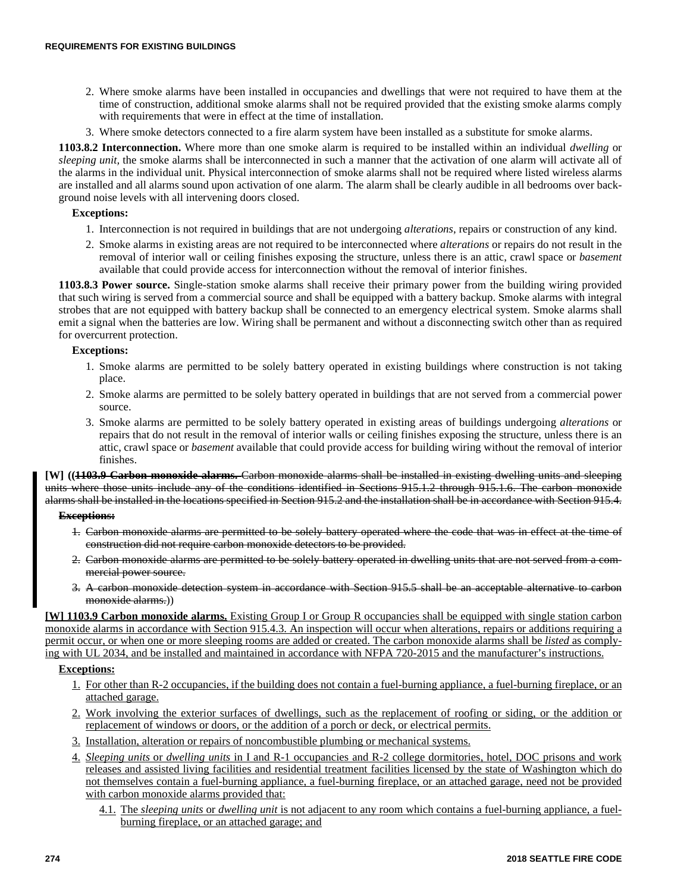- 2. Where smoke alarms have been installed in occupancies and dwellings that were not required to have them at the time of construction, additional smoke alarms shall not be required provided that the existing smoke alarms comply with requirements that were in effect at the time of installation.
- 3. Where smoke detectors connected to a fire alarm system have been installed as a substitute for smoke alarms.

**1103.8.2 Interconnection.** Where more than one smoke alarm is required to be installed within an individual *dwelling* or *sleeping unit,* the smoke alarms shall be interconnected in such a manner that the activation of one alarm will activate all of the alarms in the individual unit. Physical interconnection of smoke alarms shall not be required where listed wireless alarms are installed and all alarms sound upon activation of one alarm. The alarm shall be clearly audible in all bedrooms over background noise levels with all intervening doors closed.

## **Exceptions:**

- 1. Interconnection is not required in buildings that are not undergoing *alterations*, repairs or construction of any kind.
- 2. Smoke alarms in existing areas are not required to be interconnected where *alterations* or repairs do not result in the removal of interior wall or ceiling finishes exposing the structure, unless there is an attic, crawl space or *basement* available that could provide access for interconnection without the removal of interior finishes.

**1103.8.3 Power source.** Single-station smoke alarms shall receive their primary power from the building wiring provided that such wiring is served from a commercial source and shall be equipped with a battery backup. Smoke alarms with integral strobes that are not equipped with battery backup shall be connected to an emergency electrical system. Smoke alarms shall emit a signal when the batteries are low. Wiring shall be permanent and without a disconnecting switch other than as required for overcurrent protection.

## **Exceptions:**

- 1. Smoke alarms are permitted to be solely battery operated in existing buildings where construction is not taking place.
- 2. Smoke alarms are permitted to be solely battery operated in buildings that are not served from a commercial power source.
- 3. Smoke alarms are permitted to be solely battery operated in existing areas of buildings undergoing *alterations* or repairs that do not result in the removal of interior walls or ceiling finishes exposing the structure, unless there is an attic, crawl space or *basement* available that could provide access for building wiring without the removal of interior finishes.

**[W] ((1103.9 Carbon monoxide alarms.** Carbon monoxide alarms shall be installed in existing dwelling units and sleeping units where those units include any of the conditions identified in Sections 915.1.2 through 915.1.6. The carbon monoxide alarms shall be installed in the locations specified in Section 915.2 and the installation shall be in accordance with Section 915.4.

## **Exceptions:**

- 1. Carbon monoxide alarms are permitted to be solely battery operated where the code that was in effect at the time of construction did not require carbon monoxide detectors to be provided.
- 2. Carbon monoxide alarms are permitted to be solely battery operated in dwelling units that are not served from a commercial power source.
- 3. A carbon monoxide detection system in accordance with Section 915.5 shall be an acceptable alternative to carbon monoxide alarms.)

**[W] 1103.9 Carbon monoxide alarms.** Existing Group I or Group R occupancies shall be equipped with single station carbon monoxide alarms in accordance with Section 915.4.3. An inspection will occur when alterations, repairs or additions requiring a permit occur, or when one or more sleeping rooms are added or created. The carbon monoxide alarms shall be *listed* as complying with UL 2034, and be installed and maintained in accordance with NFPA 720-2015 and the manufacturer's instructions.

## **Exceptions:**

- 1. For other than R-2 occupancies, if the building does not contain a fuel-burning appliance, a fuel-burning fireplace, or an attached garage.
- 2. Work involving the exterior surfaces of dwellings, such as the replacement of roofing or siding, or the addition or replacement of windows or doors, or the addition of a porch or deck, or electrical permits.
- 3. Installation, alteration or repairs of noncombustible plumbing or mechanical systems.
- 4. *Sleeping units* or *dwelling units* in I and R-1 occupancies and R-2 college dormitories, hotel, DOC prisons and work releases and assisted living facilities and residential treatment facilities licensed by the state of Washington which do not themselves contain a fuel-burning appliance, a fuel-burning fireplace, or an attached garage, need not be provided with carbon monoxide alarms provided that:
	- 4.1. The *sleeping units* or *dwelling unit* is not adjacent to any room which contains a fuel-burning appliance, a fuelburning fireplace, or an attached garage; and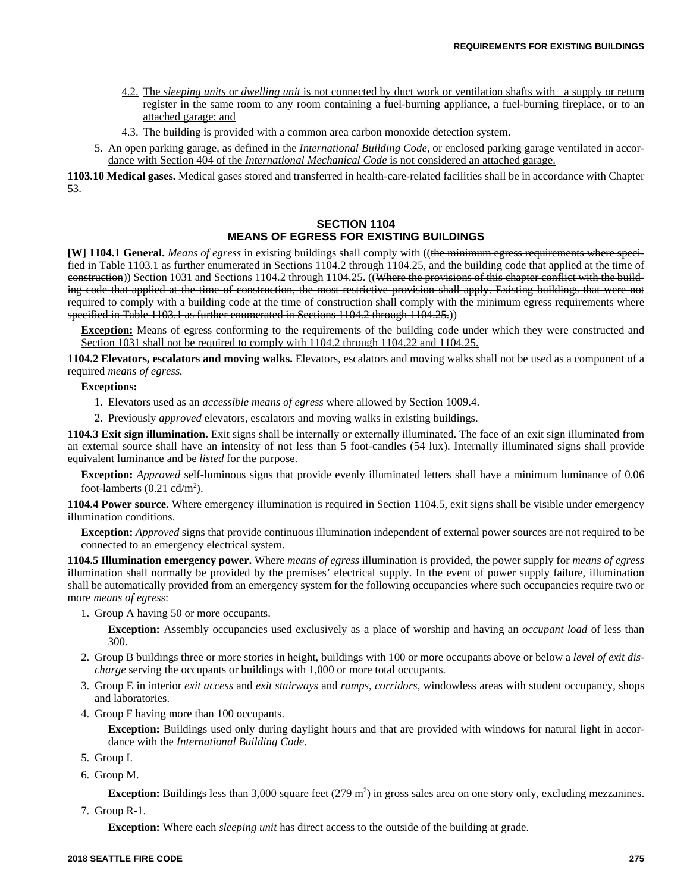- 4.2. The *sleeping units* or *dwelling unit* is not connected by duct work or ventilation shafts with a supply or return register in the same room to any room containing a fuel-burning appliance, a fuel-burning fireplace, or to an attached garage; and
- 4.3. The building is provided with a common area carbon monoxide detection system.
- 5. An open parking garage, as defined in the *International Building Code,* or enclosed parking garage ventilated in accordance with Section 404 of the *International Mechanical Code* is not considered an attached garage.

**1103.10 Medical gases.** Medical gases stored and transferred in health-care-related facilities shall be in accordance with Chapter 53.

## **SECTION 1104 MEANS OF EGRESS FOR EXISTING BUILDINGS**

**[W] 1104.1 General.** *Means of egress* in existing buildings shall comply with ((the minimum egress requirements where specified in Table 1103.1 as further enumerated in Sections 1104.2 through 1104.25, and the building code that applied at the time of construction)) Section 1031 and Sections 1104.2 through 1104.25. ((Where the provisions of this chapter conflict with the building code that applied at the time of construction, the most restrictive provision shall apply. Existing buildings that were not required to comply with a building code at the time of construction shall comply with the minimum egress requirements where specified in Table 1103.1 as further enumerated in Sections 1104.2 through 1104.25.)

**Exception:** Means of egress conforming to the requirements of the building code under which they were constructed and Section 1031 shall not be required to comply with 1104.2 through 1104.22 and 1104.25.

**1104.2 Elevators, escalators and moving walks.** Elevators, escalators and moving walks shall not be used as a component of a required *means of egress.*

## **Exceptions:**

- 1. Elevators used as an *accessible means of egress* where allowed by Section 1009.4.
- 2. Previously *approved* elevators, escalators and moving walks in existing buildings.

**1104.3 Exit sign illumination.** Exit signs shall be internally or externally illuminated. The face of an exit sign illuminated from an external source shall have an intensity of not less than 5 foot-candles (54 lux). Internally illuminated signs shall provide equivalent luminance and be *listed* for the purpose.

**Exception:** *Approved* self-luminous signs that provide evenly illuminated letters shall have a minimum luminance of 0.06 foot-lamberts  $(0.21 \text{ cd/m}^2)$ .

**1104.4 Power source.** Where emergency illumination is required in Section 1104.5, exit signs shall be visible under emergency illumination conditions.

**Exception:** *Approved* signs that provide continuous illumination independent of external power sources are not required to be connected to an emergency electrical system.

**1104.5 Illumination emergency power.** Where *means of egress* illumination is provided, the power supply for *means of egress* illumination shall normally be provided by the premises' electrical supply. In the event of power supply failure, illumination shall be automatically provided from an emergency system for the following occupancies where such occupancies require two or more *means of egress*:

- 1. Group A having 50 or more occupants.
	- **Exception:** Assembly occupancies used exclusively as a place of worship and having an *occupant load* of less than 300.
- 2. Group B buildings three or more stories in height, buildings with 100 or more occupants above or below a *level of exit discharge* serving the occupants or buildings with 1,000 or more total occupants.
- 3. Group E in interior *exit access* and *exit stairways* and *ramps*, *corridors*, windowless areas with student occupancy, shops and laboratories.
- 4. Group F having more than 100 occupants.

**Exception:** Buildings used only during daylight hours and that are provided with windows for natural light in accordance with the *International Building Code*.

- 5. Group I.
- 6. Group M.

**Exception:** Buildings less than  $3,000$  square feet  $(279 \text{ m}^2)$  in gross sales area on one story only, excluding mezzanines.

7. Group R-1.

**Exception:** Where each *sleeping unit* has direct access to the outside of the building at grade.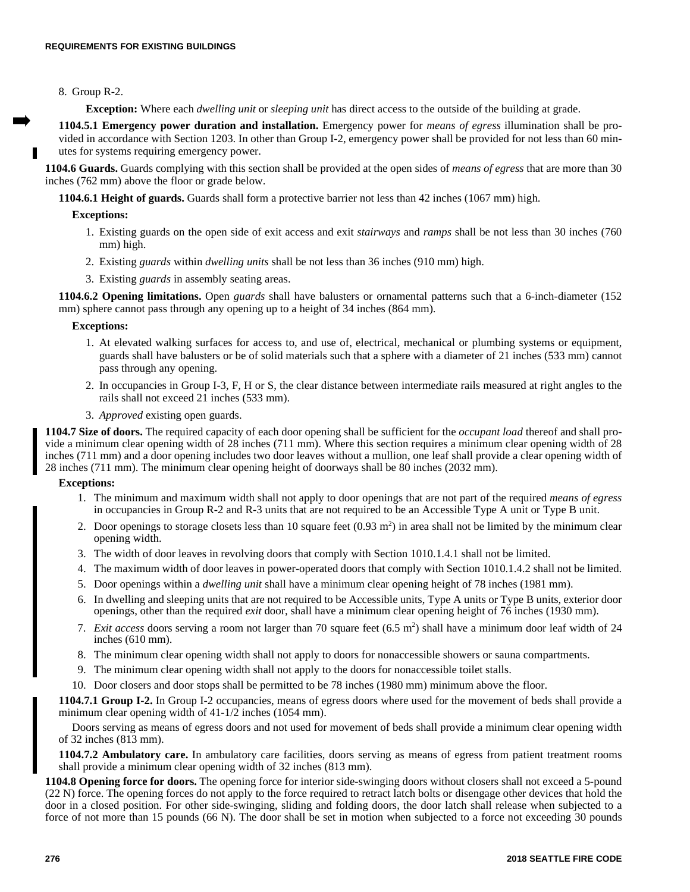## 8. Group R-2.

**Exception:** Where each *dwelling unit* or *sleeping unit* has direct access to the outside of the building at grade.

**1104.5.1 Emergency power duration and installation.** Emergency power for *means of egress* illumination shall be provided in accordance with Section 1203. In other than Group I-2, emergency power shall be provided for not less than 60 minutes for systems requiring emergency power.

**1104.6 Guards.** Guards complying with this section shall be provided at the open sides of *means of egress* that are more than 30 inches (762 mm) above the floor or grade below.

**1104.6.1 Height of guards.** Guards shall form a protective barrier not less than 42 inches (1067 mm) high.

#### **Exceptions:**

- 1. Existing guards on the open side of exit access and exit *stairways* and *ramps* shall be not less than 30 inches (760 mm) high.
- 2. Existing *guards* within *dwelling units* shall be not less than 36 inches (910 mm) high.
- 3. Existing *guards* in assembly seating areas.

**1104.6.2 Opening limitations.** Open *guards* shall have balusters or ornamental patterns such that a 6-inch-diameter (152 mm) sphere cannot pass through any opening up to a height of 34 inches (864 mm).

#### **Exceptions:**

- 1. At elevated walking surfaces for access to, and use of, electrical, mechanical or plumbing systems or equipment, guards shall have balusters or be of solid materials such that a sphere with a diameter of 21 inches (533 mm) cannot pass through any opening.
- 2. In occupancies in Group I-3, F, H or S, the clear distance between intermediate rails measured at right angles to the rails shall not exceed 21 inches (533 mm).
- 3. *Approved* existing open guards.

**1104.7 Size of doors.** The required capacity of each door opening shall be sufficient for the *occupant load* thereof and shall provide a minimum clear opening width of 28 inches (711 mm). Where this section requires a minimum clear opening width of 28 inches (711 mm) and a door opening includes two door leaves without a mullion, one leaf shall provide a clear opening width of 28 inches (711 mm). The minimum clear opening height of doorways shall be 80 inches (2032 mm).

#### **Exceptions:**

- 1. The minimum and maximum width shall not apply to door openings that are not part of the required *means of egress* in occupancies in Group R-2 and R-3 units that are not required to be an Accessible Type A unit or Type B unit.
- 2. Door openings to storage closets less than 10 square feet  $(0.93 \text{ m}^2)$  in area shall not be limited by the minimum clear opening width.
- 3. The width of door leaves in revolving doors that comply with Section 1010.1.4.1 shall not be limited.
- 4. The maximum width of door leaves in power-operated doors that comply with Section 1010.1.4.2 shall not be limited.
- 5. Door openings within a *dwelling unit* shall have a minimum clear opening height of 78 inches (1981 mm).
- 6. In dwelling and sleeping units that are not required to be Accessible units, Type A units or Type B units, exterior door openings, other than the required *exit* door, shall have a minimum clear opening height of 76 inches (1930 mm).
- 7. *Exit access* doors serving a room not larger than 70 square feet  $(6.5 \text{ m}^2)$  shall have a minimum door leaf width of 24 inches (610 mm).
- 8. The minimum clear opening width shall not apply to doors for nonaccessible showers or sauna compartments.
- 9. The minimum clear opening width shall not apply to the doors for nonaccessible toilet stalls.
- 10. Door closers and door stops shall be permitted to be 78 inches (1980 mm) minimum above the floor.

**1104.7.1 Group I-2.** In Group I-2 occupancies, means of egress doors where used for the movement of beds shall provide a minimum clear opening width of 41-1/2 inches (1054 mm).

Doors serving as means of egress doors and not used for movement of beds shall provide a minimum clear opening width of 32 inches (813 mm).

**1104.7.2 Ambulatory care.** In ambulatory care facilities, doors serving as means of egress from patient treatment rooms shall provide a minimum clear opening width of 32 inches (813 mm).

**1104.8 Opening force for doors.** The opening force for interior side-swinging doors without closers shall not exceed a 5-pound (22 N) force. The opening forces do not apply to the force required to retract latch bolts or disengage other devices that hold the door in a closed position. For other side-swinging, sliding and folding doors, the door latch shall release when subjected to a force of not more than 15 pounds (66 N). The door shall be set in motion when subjected to a force not exceeding 30 pounds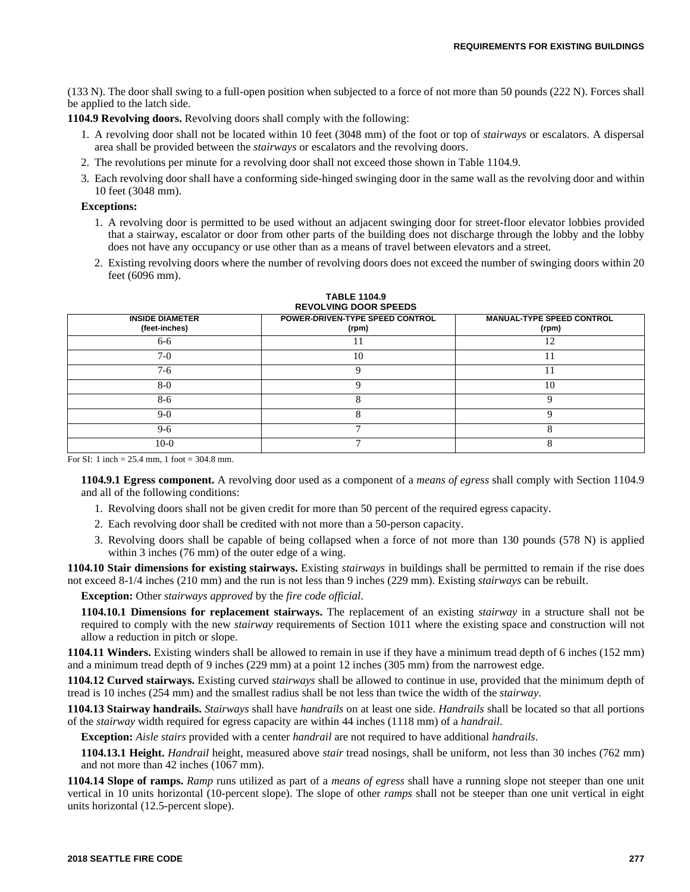(133 N). The door shall swing to a full-open position when subjected to a force of not more than 50 pounds (222 N). Forces shall be applied to the latch side.

**1104.9 Revolving doors.** Revolving doors shall comply with the following:

- 1. A revolving door shall not be located within 10 feet (3048 mm) of the foot or top of *stairways* or escalators. A dispersal area shall be provided between the *stairways* or escalators and the revolving doors.
- 2. The revolutions per minute for a revolving door shall not exceed those shown in Table 1104.9.
- 3. Each revolving door shall have a conforming side-hinged swinging door in the same wall as the revolving door and within 10 feet (3048 mm).

#### **Exceptions:**

- 1. A revolving door is permitted to be used without an adjacent swinging door for street-floor elevator lobbies provided that a stairway, escalator or door from other parts of the building does not discharge through the lobby and the lobby does not have any occupancy or use other than as a means of travel between elevators and a street.
- 2. Existing revolving doors where the number of revolving doors does not exceed the number of swinging doors within 20 feet (6096 mm).

| <b>INSIDE DIAMETER</b><br>(feet-inches) | POWER-DRIVEN-TYPE SPEED CONTROL<br>(rpm) | <b>MANUAL-TYPE SPEED CONTROL</b><br>(rpm) |
|-----------------------------------------|------------------------------------------|-------------------------------------------|
| 6-6                                     |                                          | 12                                        |
| $7-0$                                   | 10                                       |                                           |
| $7-6$                                   |                                          |                                           |
| $8-0$                                   |                                          | 10                                        |
| 8-6                                     |                                          |                                           |
| $9-0$                                   |                                          |                                           |
| $9-6$                                   |                                          |                                           |
| $10-0$                                  |                                          |                                           |

#### **TABLE 1104.9 REVOLVING DOOR SPEEDS**

For SI: 1 inch =  $25.4$  mm, 1 foot =  $304.8$  mm.

**1104.9.1 Egress component.** A revolving door used as a component of a *means of egress* shall comply with Section 1104.9 and all of the following conditions:

- 1. Revolving doors shall not be given credit for more than 50 percent of the required egress capacity.
- 2. Each revolving door shall be credited with not more than a 50-person capacity.
- 3. Revolving doors shall be capable of being collapsed when a force of not more than 130 pounds (578 N) is applied within 3 inches (76 mm) of the outer edge of a wing.

**1104.10 Stair dimensions for existing stairways.** Existing *stairways* in buildings shall be permitted to remain if the rise does not exceed 8-1/4 inches (210 mm) and the run is not less than 9 inches (229 mm). Existing *stairways* can be rebuilt.

**Exception:** Other *stairways approved* by the *fire code official*.

**1104.10.1 Dimensions for replacement stairways.** The replacement of an existing *stairway* in a structure shall not be required to comply with the new *stairway* requirements of Section 1011 where the existing space and construction will not allow a reduction in pitch or slope.

**1104.11 Winders.** Existing winders shall be allowed to remain in use if they have a minimum tread depth of 6 inches (152 mm) and a minimum tread depth of 9 inches (229 mm) at a point 12 inches (305 mm) from the narrowest edge.

**1104.12 Curved stairways.** Existing curved *stairways* shall be allowed to continue in use, provided that the minimum depth of tread is 10 inches (254 mm) and the smallest radius shall be not less than twice the width of the *stairway*.

**1104.13 Stairway handrails.** *Stairways* shall have *handrails* on at least one side. *Handrails* shall be located so that all portions of the *stairway* width required for egress capacity are within 44 inches (1118 mm) of a *handrail*.

**Exception:** *Aisle stairs* provided with a center *handrail* are not required to have additional *handrails*.

**1104.13.1 Height.** *Handrail* height, measured above *stair* tread nosings, shall be uniform, not less than 30 inches (762 mm) and not more than 42 inches (1067 mm).

**1104.14 Slope of ramps.** *Ramp* runs utilized as part of a *means of egress* shall have a running slope not steeper than one unit vertical in 10 units horizontal (10-percent slope). The slope of other *ramps* shall not be steeper than one unit vertical in eight units horizontal (12.5-percent slope).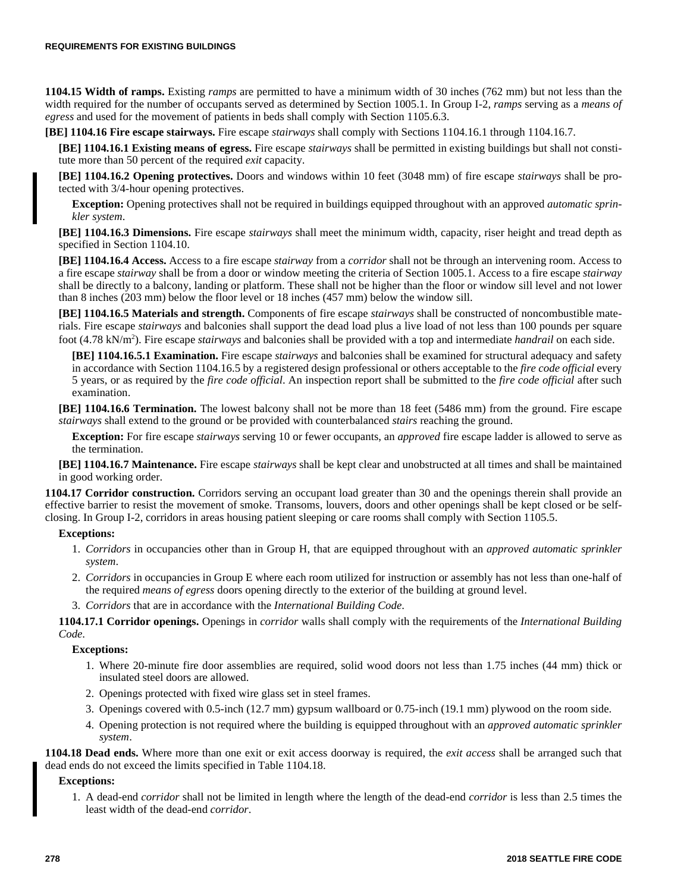**1104.15 Width of ramps.** Existing *ramps* are permitted to have a minimum width of 30 inches (762 mm) but not less than the width required for the number of occupants served as determined by Section 1005.1. In Group I-2, *ramps* serving as a *means of egress* and used for the movement of patients in beds shall comply with Section 1105.6.3.

**[BE] 1104.16 Fire escape stairways.** Fire escape *stairways* shall comply with Sections 1104.16.1 through 1104.16.7.

**[BE] 1104.16.1 Existing means of egress.** Fire escape *stairways* shall be permitted in existing buildings but shall not constitute more than 50 percent of the required *exit* capacity.

**[BE] 1104.16.2 Opening protectives.** Doors and windows within 10 feet (3048 mm) of fire escape *stairways* shall be protected with 3/4-hour opening protectives.

**Exception:** Opening protectives shall not be required in buildings equipped throughout with an approved *automatic sprinkler system*.

**[BE] 1104.16.3 Dimensions.** Fire escape *stairways* shall meet the minimum width, capacity, riser height and tread depth as specified in Section 1104.10.

**[BE] 1104.16.4 Access.** Access to a fire escape *stairway* from a *corridor* shall not be through an intervening room. Access to a fire escape *stairway* shall be from a door or window meeting the criteria of Section 1005.1. Access to a fire escape *stairway* shall be directly to a balcony, landing or platform. These shall not be higher than the floor or window sill level and not lower than 8 inches (203 mm) below the floor level or 18 inches (457 mm) below the window sill.

**[BE] 1104.16.5 Materials and strength.** Components of fire escape *stairways* shall be constructed of noncombustible materials. Fire escape *stairways* and balconies shall support the dead load plus a live load of not less than 100 pounds per square foot (4.78 kN/m<sup>2</sup>). Fire escape *stairways* and balconies shall be provided with a top and intermediate *handrail* on each side.

**[BE] 1104.16.5.1 Examination.** Fire escape *stairways* and balconies shall be examined for structural adequacy and safety in accordance with Section 1104.16.5 by a registered design professional or others acceptable to the *fire code official* every 5 years, or as required by the *fire code official*. An inspection report shall be submitted to the *fire code official* after such examination.

**[BE] 1104.16.6 Termination.** The lowest balcony shall not be more than 18 feet (5486 mm) from the ground. Fire escape *stairways* shall extend to the ground or be provided with counterbalanced *stairs* reaching the ground.

**Exception:** For fire escape *stairways* serving 10 or fewer occupants, an *approved* fire escape ladder is allowed to serve as the termination.

**[BE] 1104.16.7 Maintenance.** Fire escape *stairways* shall be kept clear and unobstructed at all times and shall be maintained in good working order.

**1104.17 Corridor construction.** Corridors serving an occupant load greater than 30 and the openings therein shall provide an effective barrier to resist the movement of smoke. Transoms, louvers, doors and other openings shall be kept closed or be selfclosing. In Group I-2, corridors in areas housing patient sleeping or care rooms shall comply with Section 1105.5.

## **Exceptions:**

- 1. *Corridors* in occupancies other than in Group H, that are equipped throughout with an *approved automatic sprinkler system*.
- 2. *Corridors* in occupancies in Group E where each room utilized for instruction or assembly has not less than one-half of the required *means of egress* doors opening directly to the exterior of the building at ground level.
- 3. *Corridors* that are in accordance with the *International Building Code*.

**1104.17.1 Corridor openings.** Openings in *corridor* walls shall comply with the requirements of the *International Building Code*.

**Exceptions:**

- 1. Where 20-minute fire door assemblies are required, solid wood doors not less than 1.75 inches (44 mm) thick or insulated steel doors are allowed.
- 2. Openings protected with fixed wire glass set in steel frames.
- 3. Openings covered with 0.5-inch (12.7 mm) gypsum wallboard or 0.75-inch (19.1 mm) plywood on the room side.
- 4. Opening protection is not required where the building is equipped throughout with an *approved automatic sprinkler system*.

**1104.18 Dead ends.** Where more than one exit or exit access doorway is required, the *exit access* shall be arranged such that dead ends do not exceed the limits specified in Table 1104.18.

**Exceptions:**

1. A dead-end *corridor* shall not be limited in length where the length of the dead-end *corridor* is less than 2.5 times the least width of the dead-end *corridor*.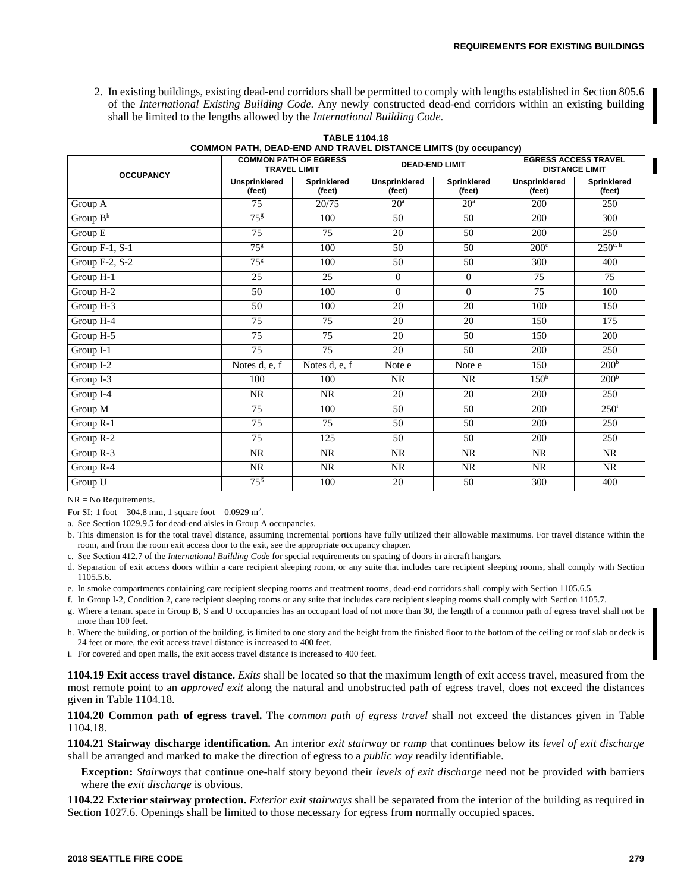2. In existing buildings, existing dead-end corridors shall be permitted to comply with lengths established in Section 805.6 of the *International Existing Building Code*. Any newly constructed dead-end corridors within an existing building shall be limited to the lengths allowed by the *International Building Code*.

| <b>OCCUPANCY</b>       |                                | <b>COMMON PATH OF EGRESS</b><br><b>TRAVEL LIMIT</b> |                                | <b>DEAD-END LIMIT</b>        | <b>EGRESS ACCESS TRAVEL</b><br><b>DISTANCE LIMIT</b> |                              |  |  |
|------------------------|--------------------------------|-----------------------------------------------------|--------------------------------|------------------------------|------------------------------------------------------|------------------------------|--|--|
|                        | <b>Unsprinklered</b><br>(feet) | <b>Sprinklered</b><br>(feet)                        | <b>Unsprinklered</b><br>(feet) | <b>Sprinklered</b><br>(feet) | <b>Unsprinklered</b><br>(feet)                       | <b>Sprinklered</b><br>(feet) |  |  |
| Group A                | 75                             | 20/75                                               | 20 <sup>a</sup>                | 20 <sup>a</sup>              | 200                                                  | 250                          |  |  |
| Group B <sup>h</sup>   | 75 <sup>g</sup>                | 100                                                 | 50                             | 50                           | 200                                                  | 300                          |  |  |
| Group E                | 75                             | 75                                                  | 20                             | 50                           | 200                                                  | 250                          |  |  |
| Group $F-1$ , $S-1$    | $75^{\rm g}$                   | 100                                                 | 50                             | 50                           | $200^{\circ}$                                        | $250^{\circ}$ h              |  |  |
| Group F-2, S-2         | $75^{\rm g}$                   | 100                                                 | 50                             | 50                           | 300                                                  | 400                          |  |  |
| Group H-1              | 25                             | 25                                                  | $\mathbf{0}$                   | $\overline{0}$               | 75                                                   | 75                           |  |  |
| Group H-2              | 50                             | 100                                                 | $\Omega$                       | $\Omega$                     | 75                                                   | 100                          |  |  |
| Group H-3              | 50                             | 100                                                 | 20                             | 20                           | 100                                                  | 150                          |  |  |
| Group H-4              | 75                             | 75                                                  | 20                             | 20                           | 150                                                  | 175                          |  |  |
| Group H-5              | 75                             | 75                                                  | 20                             | 50                           | 150                                                  | 200                          |  |  |
| $Group I-1$            | 75                             | 75                                                  | 20                             | 50                           | 200                                                  | 250                          |  |  |
| Group I-2              | Notes d, e, f                  | Notes d, e, f                                       | Note e                         | Note e                       | 150                                                  | 200 <sup>b</sup>             |  |  |
| $\overline{Group}$ I-3 | 100                            | 100                                                 | NR                             | NR                           | 150 <sup>b</sup>                                     | 200 <sup>b</sup>             |  |  |
| Group $1-4$            | <b>NR</b>                      | NR                                                  | 20                             | 20                           | 200                                                  | 250                          |  |  |
| Group M                | 75                             | 100                                                 | 50                             | 50                           | 200                                                  | $250^{\rm i}$                |  |  |
| Group R-1              | 75                             | 75                                                  | 50                             | 50                           | 200                                                  | 250                          |  |  |
| Group R-2              | 75                             | 125                                                 | 50                             | 50                           | 200                                                  | 250                          |  |  |
| Group R-3              | <b>NR</b>                      | NR                                                  | <b>NR</b>                      | NR                           | <b>NR</b>                                            | NR                           |  |  |
| Group R-4              | <b>NR</b>                      | NR                                                  | <b>NR</b>                      | NR                           | <b>NR</b>                                            | <b>NR</b>                    |  |  |
| Group U                | $75^{8}$                       | 100                                                 | 20                             | 50                           | 300                                                  | 400                          |  |  |

**TABLE 1104.18 COMMON PATH, DEAD-END AND TRAVEL DISTANCE LIMITS (by occupancy)**

NR = No Requirements.

For SI: 1 foot = 304.8 mm, 1 square foot =  $0.0929$  m<sup>2</sup>.

a. See Section 1029.9.5 for dead-end aisles in Group A occupancies.

b. This dimension is for the total travel distance, assuming incremental portions have fully utilized their allowable maximums. For travel distance within the room, and from the room exit access door to the exit, see the appropriate occupancy chapter.

c. See Section 412.7 of the *International Building Code* for special requirements on spacing of doors in aircraft hangars.

d. Separation of exit access doors within a care recipient sleeping room, or any suite that includes care recipient sleeping rooms, shall comply with Section 1105.5.6.

e. In smoke compartments containing care recipient sleeping rooms and treatment rooms, dead-end corridors shall comply with Section 1105.6.5.

f. In Group I-2, Condition 2, care recipient sleeping rooms or any suite that includes care recipient sleeping rooms shall comply with Section 1105.7.

- g. Where a tenant space in Group B, S and U occupancies has an occupant load of not more than 30, the length of a common path of egress travel shall not be more than 100 feet.
- h. Where the building, or portion of the building, is limited to one story and the height from the finished floor to the bottom of the ceiling or roof slab or deck is 24 feet or more, the exit access travel distance is increased to 400 feet.
- i. For covered and open malls, the exit access travel distance is increased to 400 feet.

**1104.19 Exit access travel distance.** *Exits* shall be located so that the maximum length of exit access travel, measured from the most remote point to an *approved exit* along the natural and unobstructed path of egress travel, does not exceed the distances given in Table 1104.18.

#### **1104.20 Common path of egress travel.** The *common path of egress travel* shall not exceed the distances given in Table 1104.18.

**1104.21 Stairway discharge identification.** An interior *exit stairway* or *ramp* that continues below its *level of exit discharge* shall be arranged and marked to make the direction of egress to a *public way* readily identifiable.

**Exception:** *Stairways* that continue one-half story beyond their *levels of exit discharge* need not be provided with barriers where the *exit discharge* is obvious.

**1104.22 Exterior stairway protection.** *Exterior exit stairways* shall be separated from the interior of the building as required in Section 1027.6. Openings shall be limited to those necessary for egress from normally occupied spaces.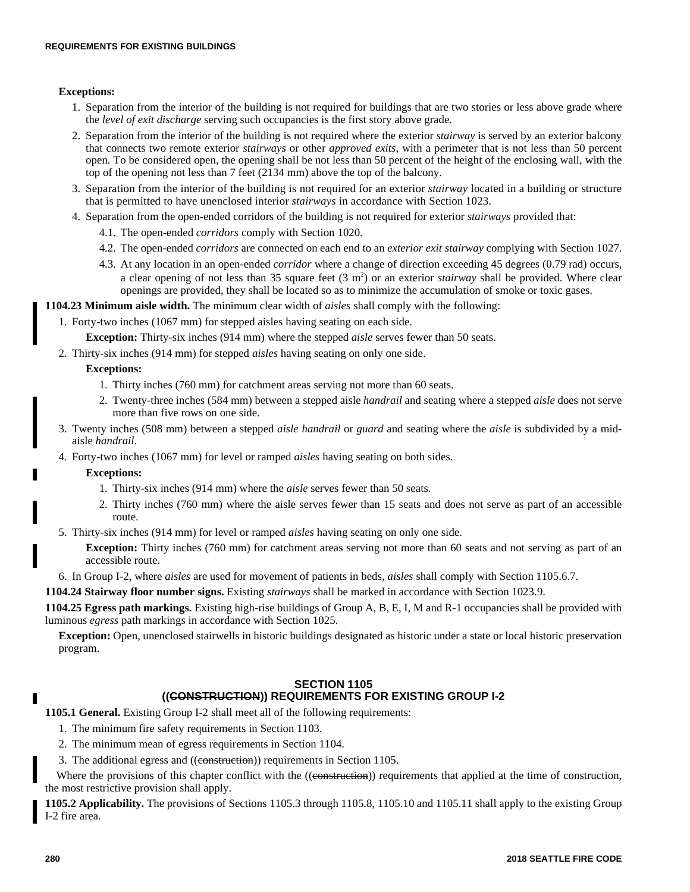## **Exceptions:**

- 1. Separation from the interior of the building is not required for buildings that are two stories or less above grade where the *level of exit discharge* serving such occupancies is the first story above grade.
- 2. Separation from the interior of the building is not required where the exterior *stairway* is served by an exterior balcony that connects two remote exterior *stairways* or other *approved exits*, with a perimeter that is not less than 50 percent open. To be considered open, the opening shall be not less than 50 percent of the height of the enclosing wall, with the top of the opening not less than 7 feet (2134 mm) above the top of the balcony.
- 3. Separation from the interior of the building is not required for an exterior *stairway* located in a building or structure that is permitted to have unenclosed interior *stairways* in accordance with Section 1023.
- 4. Separation from the open-ended corridors of the building is not required for exterior *stairways* provided that:
	- 4.1. The open-ended *corridors* comply with Section 1020.
	- 4.2. The open-ended *corridors* are connected on each end to an *exterior exit stairway* complying with Section 1027.
	- 4.3. At any location in an open-ended *corridor* where a change of direction exceeding 45 degrees (0.79 rad) occurs, a clear opening of not less than 35 square feet  $(3 \text{ m}^2)$  or an exterior *stairway* shall be provided. Where clear openings are provided, they shall be located so as to minimize the accumulation of smoke or toxic gases.

## **1104.23 Minimum aisle width.** The minimum clear width of *aisles* shall comply with the following:

1. Forty-two inches (1067 mm) for stepped aisles having seating on each side.

**Exception:** Thirty-six inches (914 mm) where the stepped *aisle* serves fewer than 50 seats.

2. Thirty-six inches (914 mm) for stepped *aisles* having seating on only one side.

## **Exceptions:**

- 1. Thirty inches (760 mm) for catchment areas serving not more than 60 seats.
- 2. Twenty-three inches (584 mm) between a stepped aisle *handrail* and seating where a stepped *aisle* does not serve more than five rows on one side.
- 3. Twenty inches (508 mm) between a stepped *aisle handrail* or *guard* and seating where the *aisle* is subdivided by a midaisle *handrail*.
- 4. Forty-two inches (1067 mm) for level or ramped *aisles* having seating on both sides.

#### **Exceptions:**

- 1. Thirty-six inches (914 mm) where the *aisle* serves fewer than 50 seats.
- 2. Thirty inches (760 mm) where the aisle serves fewer than 15 seats and does not serve as part of an accessible route.
- 5. Thirty-six inches (914 mm) for level or ramped *aisles* having seating on only one side.

**Exception:** Thirty inches (760 mm) for catchment areas serving not more than 60 seats and not serving as part of an accessible route.

6. In Group I-2, where *aisles* are used for movement of patients in beds, *aisles* shall comply with Section 1105.6.7.

**1104.24 Stairway floor number signs.** Existing *stairways* shall be marked in accordance with Section 1023.9.

**1104.25 Egress path markings.** Existing high-rise buildings of Group A, B, E, I, M and R-1 occupancies shall be provided with luminous *egress* path markings in accordance with Section 1025.

**Exception:** Open, unenclosed stairwells in historic buildings designated as historic under a state or local historic preservation program.

## **SECTION 1105 ((CONSTRUCTION)) REQUIREMENTS FOR EXISTING GROUP I-2**

**1105.1 General.** Existing Group I-2 shall meet all of the following requirements:

- 1. The minimum fire safety requirements in Section 1103.
- 2. The minimum mean of egress requirements in Section 1104.
- 3. The additional egress and ((construction)) requirements in Section 1105.

Where the provisions of this chapter conflict with the ((construction)) requirements that applied at the time of construction, the most restrictive provision shall apply.

**1105.2 Applicability.** The provisions of Sections 1105.3 through 1105.8, 1105.10 and 1105.11 shall apply to the existing Group I-2 fire area.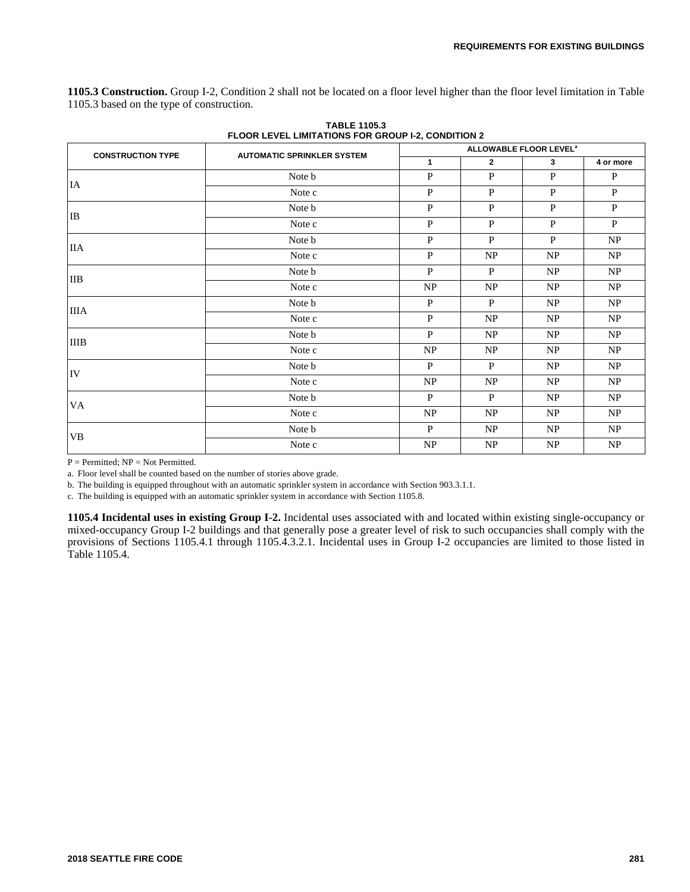**1105.3 Construction.** Group I-2, Condition 2 shall not be located on a floor level higher than the floor level limitation in Table 1105.3 based on the type of construction.

| <b>CONSTRUCTION TYPE</b> |                                   |              | ALLOWABLE FLOOR LEVEL <sup>®</sup> |              |              |  |  |  |  |  |
|--------------------------|-----------------------------------|--------------|------------------------------------|--------------|--------------|--|--|--|--|--|
|                          | <b>AUTOMATIC SPRINKLER SYSTEM</b> | $\mathbf{1}$ | $\overline{2}$                     | $3^{\circ}$  | 4 or more    |  |  |  |  |  |
| IA                       | Note b                            | $\mathbf{P}$ | $\mathbf{P}$                       | $\mathbf{P}$ | $\mathbf{P}$ |  |  |  |  |  |
|                          | Note c                            | $\mathbf{P}$ | $\mathbf{P}$                       | $\mathbf{P}$ | $\mathbf{P}$ |  |  |  |  |  |
| IB                       | Note b                            | $\mathbf{P}$ | $\mathbf{P}$                       | $\mathbf{P}$ | P            |  |  |  |  |  |
|                          | Note c                            | $\, {\bf P}$ | $\, {\bf P}$                       | $\mathbf{P}$ | P            |  |  |  |  |  |
|                          | Note <b>b</b>                     | P            | P                                  | P            | NP           |  |  |  |  |  |
| IIА                      | Note c                            | $\mathbf{P}$ | NP                                 | NP           | NP           |  |  |  |  |  |
| $_{\text{IIB}}$          | Note b                            | $\mathbf{P}$ | $\mathbf{P}$                       | NP           | NP           |  |  |  |  |  |
|                          | Note c                            | NP           | NP                                 | NP           | NP           |  |  |  |  |  |
| <b>IIIA</b>              | Note <b>b</b>                     | P            | P                                  | NP           | NP           |  |  |  |  |  |
|                          | Note c                            | P            | NP                                 | NP           | NP           |  |  |  |  |  |
| <b>IIIB</b>              | Note b                            | $\, {\bf P}$ | NP                                 | NP           | NP           |  |  |  |  |  |
|                          | Note c                            | NP           | NP                                 | NP           | NP           |  |  |  |  |  |
| IV                       | Note <b>b</b>                     | $\mathbf{P}$ | $\mathbf{P}$                       | NP           | NP           |  |  |  |  |  |
|                          | Note c                            | NP           | NP                                 | NP           | NP           |  |  |  |  |  |
|                          | Note b                            | $\, {\bf P}$ | $\mathbf{P}$                       | NP           | NP           |  |  |  |  |  |
| VA                       | Note c                            | NP           | NP                                 | NP           | NP           |  |  |  |  |  |
|                          | Note <b>b</b>                     | P            | <b>NP</b>                          | NP           | NP           |  |  |  |  |  |
| VB                       | Note c                            | NP           | NP                                 | NP           | NP           |  |  |  |  |  |

**TABLE 1105.3 FLOOR LEVEL LIMITATIONS FOR GROUP I-2, CONDITION 2**

 $P = Permitted$ ;  $NP = Not Permitted$ .

a. Floor level shall be counted based on the number of stories above grade.

b. The building is equipped throughout with an automatic sprinkler system in accordance with Section 903.3.1.1.

c. The building is equipped with an automatic sprinkler system in accordance with Section 1105.8.

**1105.4 Incidental uses in existing Group I-2.** Incidental uses associated with and located within existing single-occupancy or mixed-occupancy Group I-2 buildings and that generally pose a greater level of risk to such occupancies shall comply with the provisions of Sections 1105.4.1 through 1105.4.3.2.1. Incidental uses in Group I-2 occupancies are limited to those listed in Table 1105.4.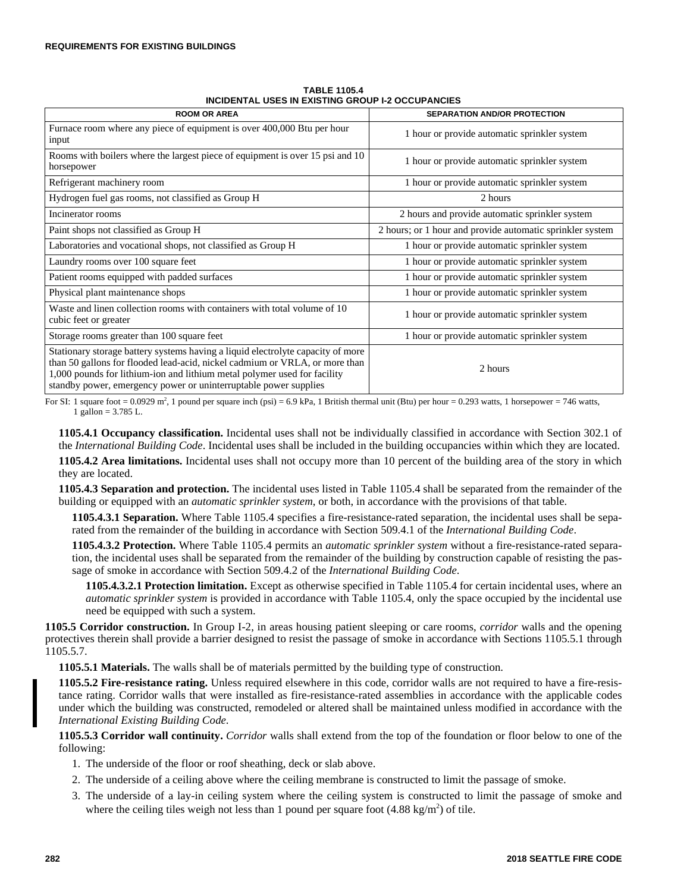| <b>ROOM OR AREA</b>                                                                                                                                                                                                                                                                                            | <b>SEPARATION AND/OR PROTECTION</b>                       |  |  |  |  |  |  |  |  |
|----------------------------------------------------------------------------------------------------------------------------------------------------------------------------------------------------------------------------------------------------------------------------------------------------------------|-----------------------------------------------------------|--|--|--|--|--|--|--|--|
| Furnace room where any piece of equipment is over 400,000 Btu per hour<br>input                                                                                                                                                                                                                                | 1 hour or provide automatic sprinkler system              |  |  |  |  |  |  |  |  |
| Rooms with boilers where the largest piece of equipment is over 15 psi and 10<br>horsepower                                                                                                                                                                                                                    | 1 hour or provide automatic sprinkler system              |  |  |  |  |  |  |  |  |
| Refrigerant machinery room                                                                                                                                                                                                                                                                                     | 1 hour or provide automatic sprinkler system              |  |  |  |  |  |  |  |  |
| Hydrogen fuel gas rooms, not classified as Group H                                                                                                                                                                                                                                                             | 2 hours                                                   |  |  |  |  |  |  |  |  |
| Incinerator rooms                                                                                                                                                                                                                                                                                              | 2 hours and provide automatic sprinkler system            |  |  |  |  |  |  |  |  |
| Paint shops not classified as Group H                                                                                                                                                                                                                                                                          | 2 hours; or 1 hour and provide automatic sprinkler system |  |  |  |  |  |  |  |  |
| Laboratories and vocational shops, not classified as Group H                                                                                                                                                                                                                                                   | 1 hour or provide automatic sprinkler system              |  |  |  |  |  |  |  |  |
| Laundry rooms over 100 square feet                                                                                                                                                                                                                                                                             | 1 hour or provide automatic sprinkler system              |  |  |  |  |  |  |  |  |
| Patient rooms equipped with padded surfaces                                                                                                                                                                                                                                                                    | 1 hour or provide automatic sprinkler system              |  |  |  |  |  |  |  |  |
| Physical plant maintenance shops                                                                                                                                                                                                                                                                               | 1 hour or provide automatic sprinkler system              |  |  |  |  |  |  |  |  |
| Waste and linen collection rooms with containers with total volume of 10<br>cubic feet or greater                                                                                                                                                                                                              | 1 hour or provide automatic sprinkler system              |  |  |  |  |  |  |  |  |
| Storage rooms greater than 100 square feet                                                                                                                                                                                                                                                                     | 1 hour or provide automatic sprinkler system              |  |  |  |  |  |  |  |  |
| Stationary storage battery systems having a liquid electrolyte capacity of more<br>than 50 gallons for flooded lead-acid, nickel cadmium or VRLA, or more than<br>1,000 pounds for lithium-ion and lithium metal polymer used for facility<br>standby power, emergency power or uninterruptable power supplies | 2 hours                                                   |  |  |  |  |  |  |  |  |

**TABLE 1105.4 INCIDENTAL USES IN EXISTING GROUP I-2 OCCUPANCIES**

For SI: 1 square foot =  $0.0929$  m<sup>2</sup>, 1 pound per square inch (psi) =  $6.9$  kPa, 1 British thermal unit (Btu) per hour =  $0.293$  watts, 1 horsepower = 746 watts, 1 gallon = 3.785 L.

**1105.4.1 Occupancy classification.** Incidental uses shall not be individually classified in accordance with Section 302.1 of the *International Building Code*. Incidental uses shall be included in the building occupancies within which they are located. **1105.4.2 Area limitations.** Incidental uses shall not occupy more than 10 percent of the building area of the story in which they are located.

**1105.4.3 Separation and protection.** The incidental uses listed in Table 1105.4 shall be separated from the remainder of the building or equipped with an *automatic sprinkler system*, or both, in accordance with the provisions of that table.

**1105.4.3.1 Separation.** Where Table 1105.4 specifies a fire-resistance-rated separation, the incidental uses shall be separated from the remainder of the building in accordance with Section 509.4.1 of the *International Building Code*.

**1105.4.3.2 Protection.** Where Table 1105.4 permits an *automatic sprinkler system* without a fire-resistance-rated separation, the incidental uses shall be separated from the remainder of the building by construction capable of resisting the passage of smoke in accordance with Section 509.4.2 of the *International Building Code*.

**1105.4.3.2.1 Protection limitation.** Except as otherwise specified in Table 1105.4 for certain incidental uses, where an *automatic sprinkler system* is provided in accordance with Table 1105.4, only the space occupied by the incidental use need be equipped with such a system.

**1105.5 Corridor construction.** In Group I-2, in areas housing patient sleeping or care rooms, *corridor* walls and the opening protectives therein shall provide a barrier designed to resist the passage of smoke in accordance with Sections 1105.5.1 through 1105.5.7.

**1105.5.1 Materials.** The walls shall be of materials permitted by the building type of construction.

**1105.5.2 Fire-resistance rating.** Unless required elsewhere in this code, corridor walls are not required to have a fire-resistance rating. Corridor walls that were installed as fire-resistance-rated assemblies in accordance with the applicable codes under which the building was constructed, remodeled or altered shall be maintained unless modified in accordance with the *International Existing Building Code*.

**1105.5.3 Corridor wall continuity.** *Corridor* walls shall extend from the top of the foundation or floor below to one of the following:

- 1. The underside of the floor or roof sheathing, deck or slab above.
- 2. The underside of a ceiling above where the ceiling membrane is constructed to limit the passage of smoke.
- 3. The underside of a lay-in ceiling system where the ceiling system is constructed to limit the passage of smoke and where the ceiling tiles weigh not less than 1 pound per square foot  $(4.88 \text{ kg/m}^2)$  of tile.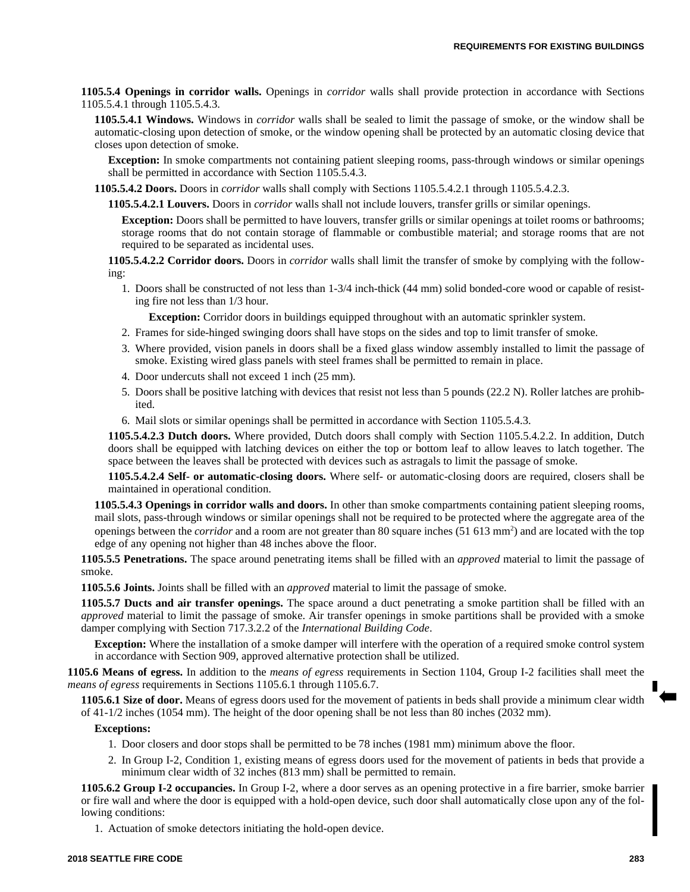**1105.5.4 Openings in corridor walls.** Openings in *corridor* walls shall provide protection in accordance with Sections 1105.5.4.1 through 1105.5.4.3.

**1105.5.4.1 Windows.** Windows in *corridor* walls shall be sealed to limit the passage of smoke, or the window shall be automatic-closing upon detection of smoke, or the window opening shall be protected by an automatic closing device that closes upon detection of smoke.

**Exception:** In smoke compartments not containing patient sleeping rooms, pass-through windows or similar openings shall be permitted in accordance with Section 1105.5.4.3.

**1105.5.4.2 Doors.** Doors in *corridor* walls shall comply with Sections 1105.5.4.2.1 through 1105.5.4.2.3.

**1105.5.4.2.1 Louvers.** Doors in *corridor* walls shall not include louvers, transfer grills or similar openings.

**Exception:** Doors shall be permitted to have louvers, transfer grills or similar openings at toilet rooms or bathrooms; storage rooms that do not contain storage of flammable or combustible material; and storage rooms that are not required to be separated as incidental uses.

**1105.5.4.2.2 Corridor doors.** Doors in *corridor* walls shall limit the transfer of smoke by complying with the following:

1. Doors shall be constructed of not less than 1-3/4 inch-thick (44 mm) solid bonded-core wood or capable of resisting fire not less than 1/3 hour.

**Exception:** Corridor doors in buildings equipped throughout with an automatic sprinkler system.

- 2. Frames for side-hinged swinging doors shall have stops on the sides and top to limit transfer of smoke.
- 3. Where provided, vision panels in doors shall be a fixed glass window assembly installed to limit the passage of smoke. Existing wired glass panels with steel frames shall be permitted to remain in place.
- 4. Door undercuts shall not exceed 1 inch (25 mm).
- 5. Doors shall be positive latching with devices that resist not less than 5 pounds (22.2 N). Roller latches are prohibited.
- 6. Mail slots or similar openings shall be permitted in accordance with Section 1105.5.4.3.

**1105.5.4.2.3 Dutch doors.** Where provided, Dutch doors shall comply with Section 1105.5.4.2.2. In addition, Dutch doors shall be equipped with latching devices on either the top or bottom leaf to allow leaves to latch together. The space between the leaves shall be protected with devices such as astragals to limit the passage of smoke.

**1105.5.4.2.4 Self- or automatic-closing doors.** Where self- or automatic-closing doors are required, closers shall be maintained in operational condition.

**1105.5.4.3 Openings in corridor walls and doors.** In other than smoke compartments containing patient sleeping rooms, mail slots, pass-through windows or similar openings shall not be required to be protected where the aggregate area of the openings between the *corridor* and a room are not greater than 80 square inches (51 613 mm<sup>2</sup> ) and are located with the top edge of any opening not higher than 48 inches above the floor.

**1105.5.5 Penetrations.** The space around penetrating items shall be filled with an *approved* material to limit the passage of smoke.

**1105.5.6 Joints.** Joints shall be filled with an *approved* material to limit the passage of smoke.

**1105.5.7 Ducts and air transfer openings.** The space around a duct penetrating a smoke partition shall be filled with an *approved* material to limit the passage of smoke. Air transfer openings in smoke partitions shall be provided with a smoke damper complying with Section 717.3.2.2 of the *International Building Code*.

**Exception:** Where the installation of a smoke damper will interfere with the operation of a required smoke control system in accordance with Section 909, approved alternative protection shall be utilized.

**1105.6 Means of egress.** In addition to the *means of egress* requirements in Section 1104, Group I-2 facilities shall meet the *means of egress* requirements in Sections 1105.6.1 through 1105.6.7.

**1105.6.1 Size of door.** Means of egress doors used for the movement of patients in beds shall provide a minimum clear width of 41-1/2 inches (1054 mm). The height of the door opening shall be not less than 80 inches (2032 mm).

#### **Exceptions:**

- 1. Door closers and door stops shall be permitted to be 78 inches (1981 mm) minimum above the floor.
- 2. In Group I-2, Condition 1, existing means of egress doors used for the movement of patients in beds that provide a minimum clear width of 32 inches (813 mm) shall be permitted to remain.

**1105.6.2 Group I-2 occupancies.** In Group I-2, where a door serves as an opening protective in a fire barrier, smoke barrier or fire wall and where the door is equipped with a hold-open device, such door shall automatically close upon any of the following conditions:

1. Actuation of smoke detectors initiating the hold-open device.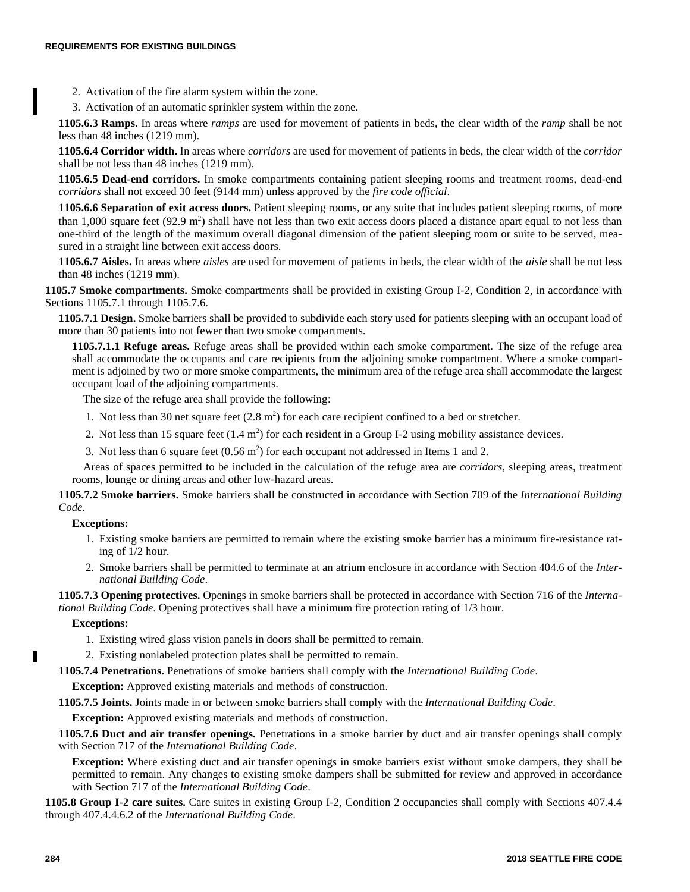- 2. Activation of the fire alarm system within the zone.
- 3. Activation of an automatic sprinkler system within the zone.

**1105.6.3 Ramps.** In areas where *ramps* are used for movement of patients in beds, the clear width of the *ramp* shall be not less than 48 inches (1219 mm).

**1105.6.4 Corridor width.** In areas where *corridors* are used for movement of patients in beds, the clear width of the *corridor* shall be not less than 48 inches (1219 mm).

**1105.6.5 Dead-end corridors.** In smoke compartments containing patient sleeping rooms and treatment rooms, dead-end *corridors* shall not exceed 30 feet (9144 mm) unless approved by the *fire code official*.

**1105.6.6 Separation of exit access doors.** Patient sleeping rooms, or any suite that includes patient sleeping rooms, of more than  $1,000$  square feet (92.9 m<sup>2</sup>) shall have not less than two exit access doors placed a distance apart equal to not less than one-third of the length of the maximum overall diagonal dimension of the patient sleeping room or suite to be served, measured in a straight line between exit access doors.

**1105.6.7 Aisles.** In areas where *aisles* are used for movement of patients in beds, the clear width of the *aisle* shall be not less than 48 inches (1219 mm).

**1105.7 Smoke compartments.** Smoke compartments shall be provided in existing Group I-2, Condition 2, in accordance with Sections 1105.7.1 through 1105.7.6.

**1105.7.1 Design.** Smoke barriers shall be provided to subdivide each story used for patients sleeping with an occupant load of more than 30 patients into not fewer than two smoke compartments.

**1105.7.1.1 Refuge areas.** Refuge areas shall be provided within each smoke compartment. The size of the refuge area shall accommodate the occupants and care recipients from the adjoining smoke compartment. Where a smoke compartment is adjoined by two or more smoke compartments, the minimum area of the refuge area shall accommodate the largest occupant load of the adjoining compartments.

The size of the refuge area shall provide the following:

- 1. Not less than 30 net square feet  $(2.8 \text{ m}^2)$  for each care recipient confined to a bed or stretcher.
- 2. Not less than 15 square feet  $(1.4 \text{ m}^2)$  for each resident in a Group I-2 using mobility assistance devices.
- 3. Not less than 6 square feet  $(0.56 \text{ m}^2)$  for each occupant not addressed in Items 1 and 2.

Areas of spaces permitted to be included in the calculation of the refuge area are *corridors*, sleeping areas, treatment rooms, lounge or dining areas and other low-hazard areas.

**1105.7.2 Smoke barriers.** Smoke barriers shall be constructed in accordance with Section 709 of the *International Building Code*.

## **Exceptions:**

- 1. Existing smoke barriers are permitted to remain where the existing smoke barrier has a minimum fire-resistance rating of 1/2 hour.
- 2. Smoke barriers shall be permitted to terminate at an atrium enclosure in accordance with Section 404.6 of the *International Building Code*.

**1105.7.3 Opening protectives.** Openings in smoke barriers shall be protected in accordance with Section 716 of the *International Building Code*. Opening protectives shall have a minimum fire protection rating of 1/3 hour.

## **Exceptions:**

- 1. Existing wired glass vision panels in doors shall be permitted to remain.
- 2. Existing nonlabeled protection plates shall be permitted to remain.

**1105.7.4 Penetrations.** Penetrations of smoke barriers shall comply with the *International Building Code*.

**Exception:** Approved existing materials and methods of construction.

**1105.7.5 Joints.** Joints made in or between smoke barriers shall comply with the *International Building Code*.

**Exception:** Approved existing materials and methods of construction.

**1105.7.6 Duct and air transfer openings.** Penetrations in a smoke barrier by duct and air transfer openings shall comply with Section 717 of the *International Building Code*.

**Exception:** Where existing duct and air transfer openings in smoke barriers exist without smoke dampers, they shall be permitted to remain. Any changes to existing smoke dampers shall be submitted for review and approved in accordance with Section 717 of the *International Building Code*.

**1105.8 Group I-2 care suites.** Care suites in existing Group I-2, Condition 2 occupancies shall comply with Sections 407.4.4 through 407.4.4.6.2 of the *International Building Code*.